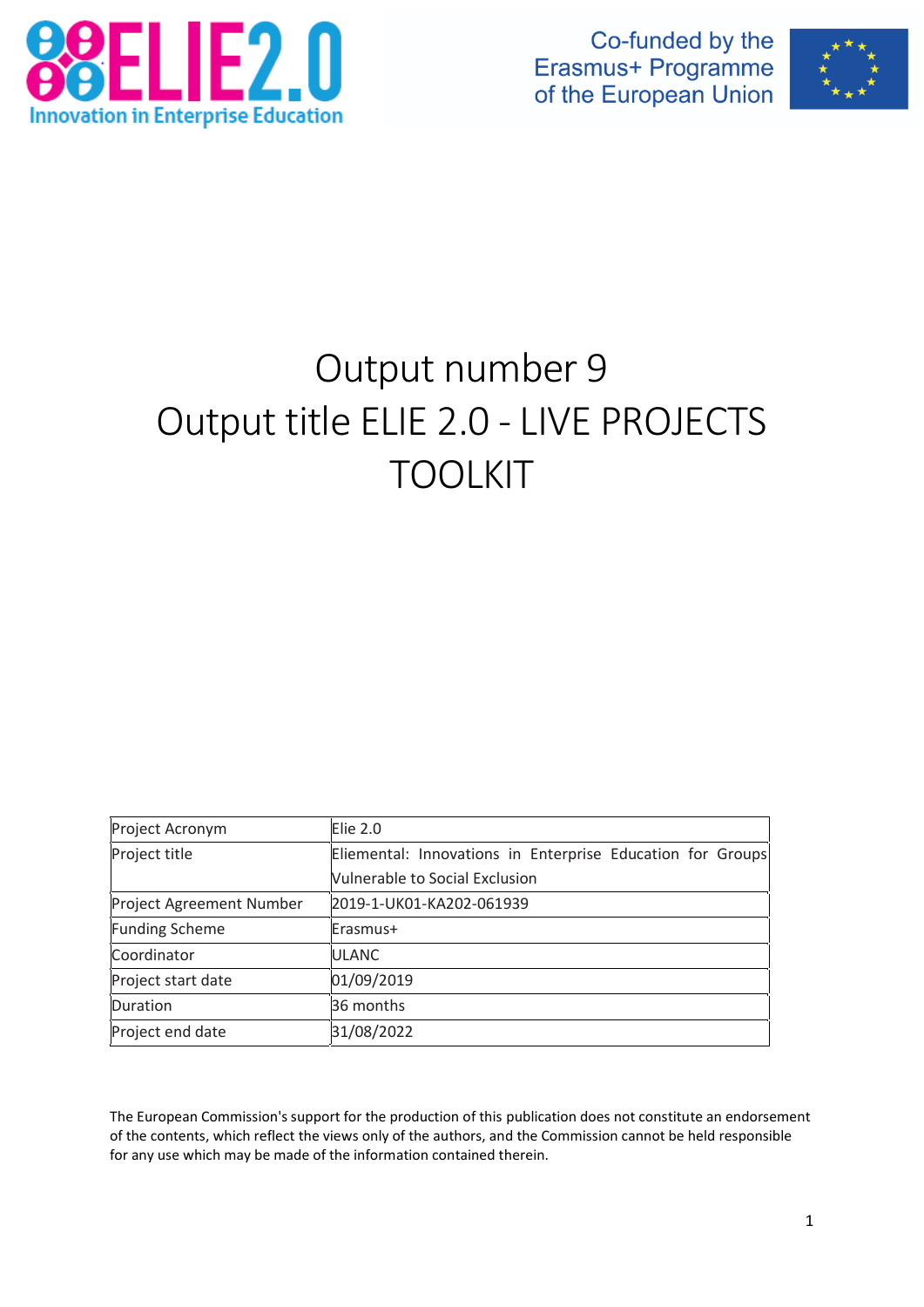

Co-funded by the Erasmus+ Programme of the European Union



# Output number 9 Output title ELIE 2.0 - LIVE PROJECTS TOOLKIT

| Project Acronym          | <b>Elie 2.0</b>                                            |  |  |  |  |
|--------------------------|------------------------------------------------------------|--|--|--|--|
| Project title            | Eliemental: Innovations in Enterprise Education for Groups |  |  |  |  |
|                          | <b>Vulnerable to Social Exclusion</b>                      |  |  |  |  |
| Project Agreement Number | 2019-1-UK01-KA202-061939                                   |  |  |  |  |
| <b>Funding Scheme</b>    | Erasmus+                                                   |  |  |  |  |
| Coordinator              | <b>ULANC</b>                                               |  |  |  |  |
| Project start date       | 01/09/2019                                                 |  |  |  |  |
| Duration                 | 36 months                                                  |  |  |  |  |
| Project end date         | 31/08/2022                                                 |  |  |  |  |

The European Commission's support for the production of this publication does not constitute an endorsement of the contents, which reflect the views only of the authors, and the Commission cannot be held responsible for any use which may be made of the information contained therein.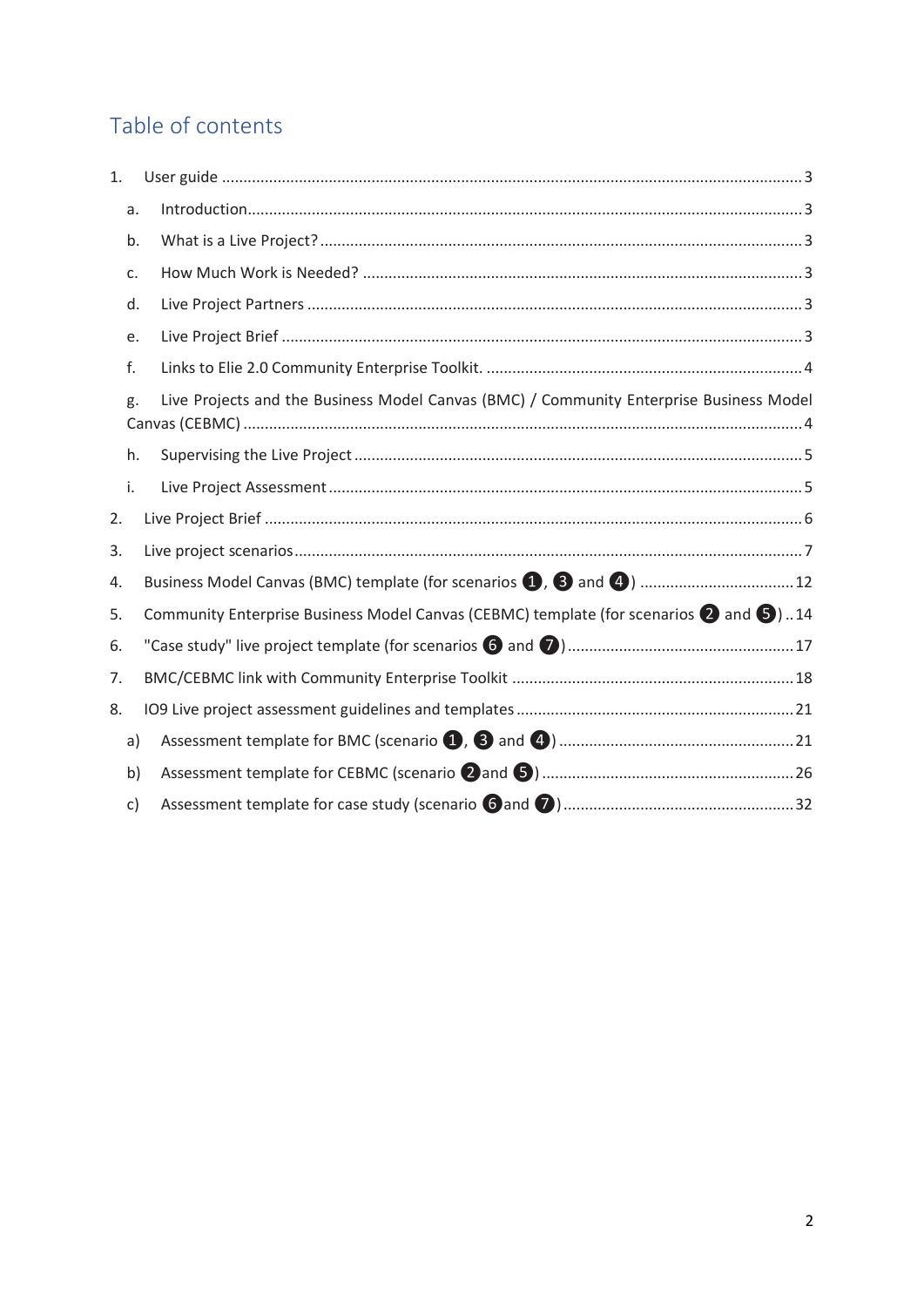# Table of contents

| 1. |    |                                                                                                          |
|----|----|----------------------------------------------------------------------------------------------------------|
|    | a. |                                                                                                          |
|    | b. |                                                                                                          |
|    | c. |                                                                                                          |
|    | d. |                                                                                                          |
|    | e. |                                                                                                          |
|    | f. |                                                                                                          |
|    | g. | Live Projects and the Business Model Canvas (BMC) / Community Enterprise Business Model                  |
|    | h. |                                                                                                          |
|    | i. |                                                                                                          |
| 2. |    |                                                                                                          |
| 3. |    |                                                                                                          |
| 4. |    |                                                                                                          |
| 5. |    | Community Enterprise Business Model Canvas (CEBMC) template (for scenarios $\bigcirc$ and $\bigcirc$ )14 |
| 6. |    |                                                                                                          |
| 7. |    |                                                                                                          |
| 8. |    |                                                                                                          |
|    | a) |                                                                                                          |
|    | b) |                                                                                                          |
|    | c) |                                                                                                          |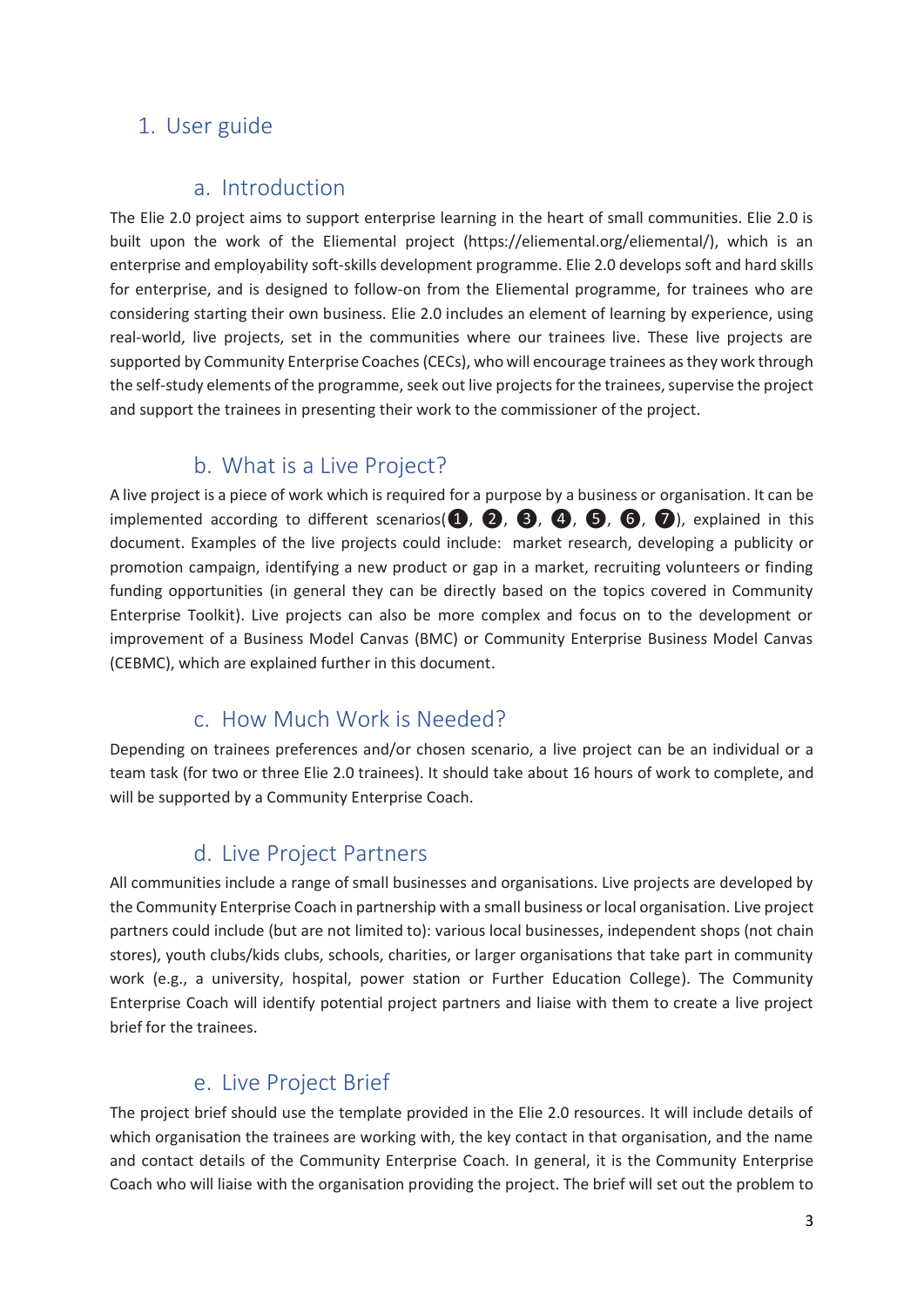### <span id="page-2-0"></span>1. User guide

### a. Introduction

<span id="page-2-1"></span>The Elie 2.0 project aims to support enterprise learning in the heart of small communities. Elie 2.0 is built upon the work of the Eliemental project (https://eliemental.org/eliemental/), which is an enterprise and employability soft-skills development programme. Elie 2.0 develops soft and hard skills for enterprise, and is designed to follow-on from the Eliemental programme, for trainees who are considering starting their own business. Elie 2.0 includes an element of learning by experience, using real-world, live projects, set in the communities where our trainees live. These live projects are supported by Community Enterprise Coaches(CECs), who will encourage trainees as they work through the self-study elements of the programme, seek out live projects for the trainees, supervise the project and support the trainees in presenting their work to the commissioner of the project.

### b. What is a Live Project?

<span id="page-2-2"></span>A live project is a piece of work which is required for a purpose by a business or organisation. It can be implemented according to different scenarios( $\mathbf{0}, \mathbf{0}, \mathbf{0}, \mathbf{0}, \mathbf{0}, \mathbf{0}$ ), explained in this document. Examples of the live projects could include: market research, developing a publicity or promotion campaign, identifying a new product or gap in a market, recruiting volunteers or finding funding opportunities (in general they can be directly based on the topics covered in Community Enterprise Toolkit). Live projects can also be more complex and focus on to the development or improvement of a Business Model Canvas (BMC) or Community Enterprise Business Model Canvas (CEBMC), which are explained further in this document.

## c. How Much Work is Needed?

<span id="page-2-3"></span>Depending on trainees preferences and/or chosen scenario, a live project can be an individual or a team task (for two or three Elie 2.0 trainees). It should take about 16 hours of work to complete, and will be supported by a Community Enterprise Coach.

## d. Live Project Partners

<span id="page-2-4"></span>All communities include a range of small businesses and organisations. Live projects are developed by the Community Enterprise Coach in partnership with a small business or local organisation. Live project partners could include (but are not limited to): various local businesses, independent shops (not chain stores), youth clubs/kids clubs, schools, charities, or larger organisations that take part in community work (e.g., a university, hospital, power station or Further Education College). The Community Enterprise Coach will identify potential project partners and liaise with them to create a live project brief for the trainees.

## e. Live Project Brief

<span id="page-2-5"></span>The project brief should use the template provided in the Elie 2.0 resources. It will include details of which organisation the trainees are working with, the key contact in that organisation, and the name and contact details of the Community Enterprise Coach. In general, it is the Community Enterprise Coach who will liaise with the organisation providing the project. The brief will set out the problem to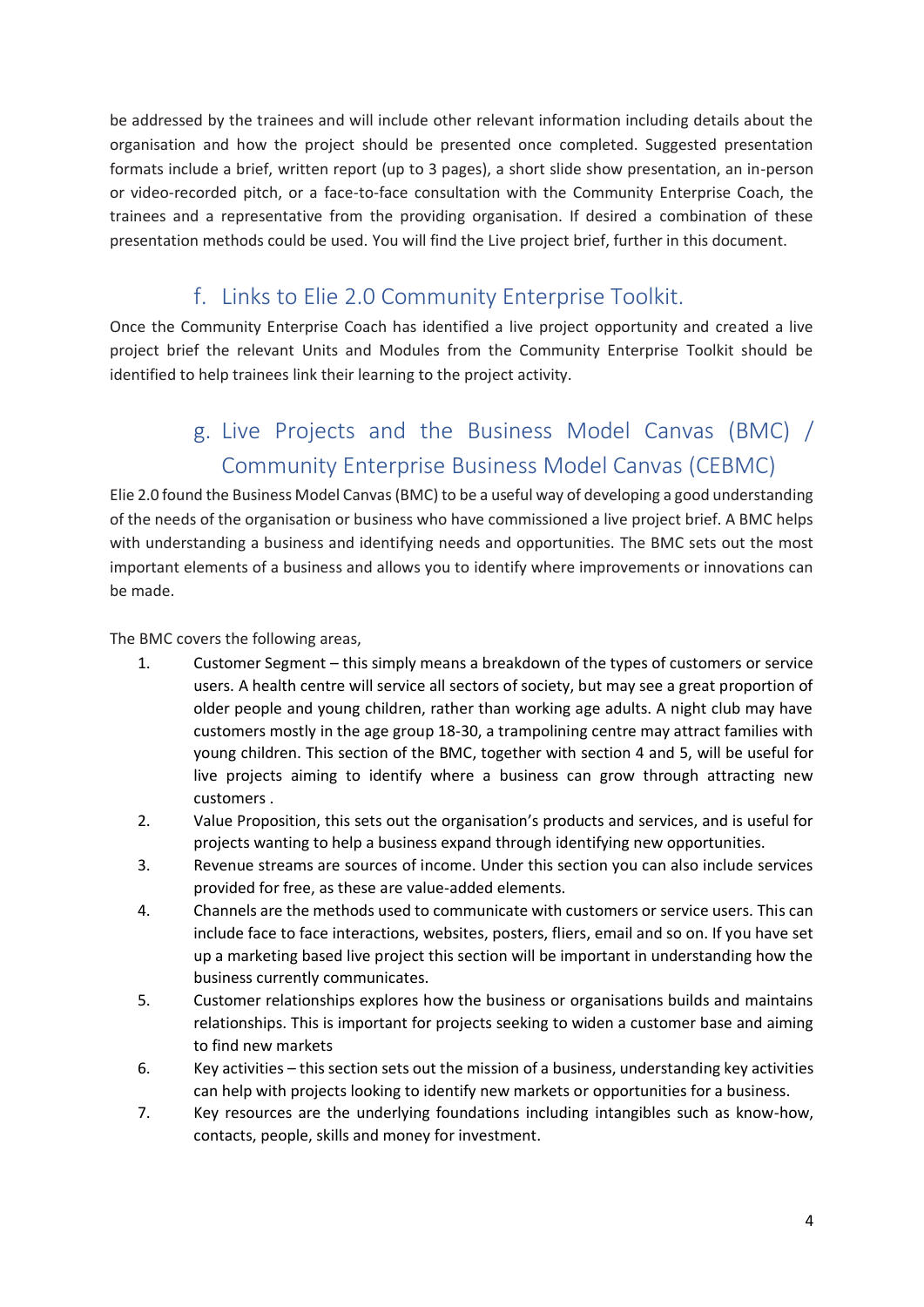be addressed by the trainees and will include other relevant information including details about the organisation and how the project should be presented once completed. Suggested presentation formats include a brief, written report (up to 3 pages), a short slide show presentation, an in-person or video-recorded pitch, or a face-to-face consultation with the Community Enterprise Coach, the trainees and a representative from the providing organisation. If desired a combination of these presentation methods could be used. You will find the Live project brief, further in this document.

# f. Links to Elie 2.0 Community Enterprise Toolkit.

<span id="page-3-0"></span>Once the Community Enterprise Coach has identified a live project opportunity and created a live project brief the relevant Units and Modules from the Community Enterprise Toolkit should be identified to help trainees link their learning to the project activity.

# g. Live Projects and the Business Model Canvas (BMC) / Community Enterprise Business Model Canvas (CEBMC)

<span id="page-3-1"></span>Elie 2.0 found the Business Model Canvas (BMC) to be a useful way of developing a good understanding of the needs of the organisation or business who have commissioned a live project brief. A BMC helps with understanding a business and identifying needs and opportunities. The BMC sets out the most important elements of a business and allows you to identify where improvements or innovations can be made.

The BMC covers the following areas,

- 1. Customer Segment this simply means a breakdown of the types of customers or service users. A health centre will service all sectors of society, but may see a great proportion of older people and young children, rather than working age adults. A night club may have customers mostly in the age group 18-30, a trampolining centre may attract families with young children. This section of the BMC, together with section 4 and 5, will be useful for live projects aiming to identify where a business can grow through attracting new customers .
- 2. Value Proposition, this sets out the organisation's products and services, and is useful for projects wanting to help a business expand through identifying new opportunities.
- 3. Revenue streams are sources of income. Under this section you can also include services provided for free, as these are value-added elements.
- 4. Channels are the methods used to communicate with customers or service users. This can include face to face interactions, websites, posters, fliers, email and so on. If you have set up a marketing based live project this section will be important in understanding how the business currently communicates.
- 5. Customer relationships explores how the business or organisations builds and maintains relationships. This is important for projects seeking to widen a customer base and aiming to find new markets
- 6. Key activities this section sets out the mission of a business, understanding key activities can help with projects looking to identify new markets or opportunities for a business.
- 7. Key resources are the underlying foundations including intangibles such as know-how, contacts, people, skills and money for investment.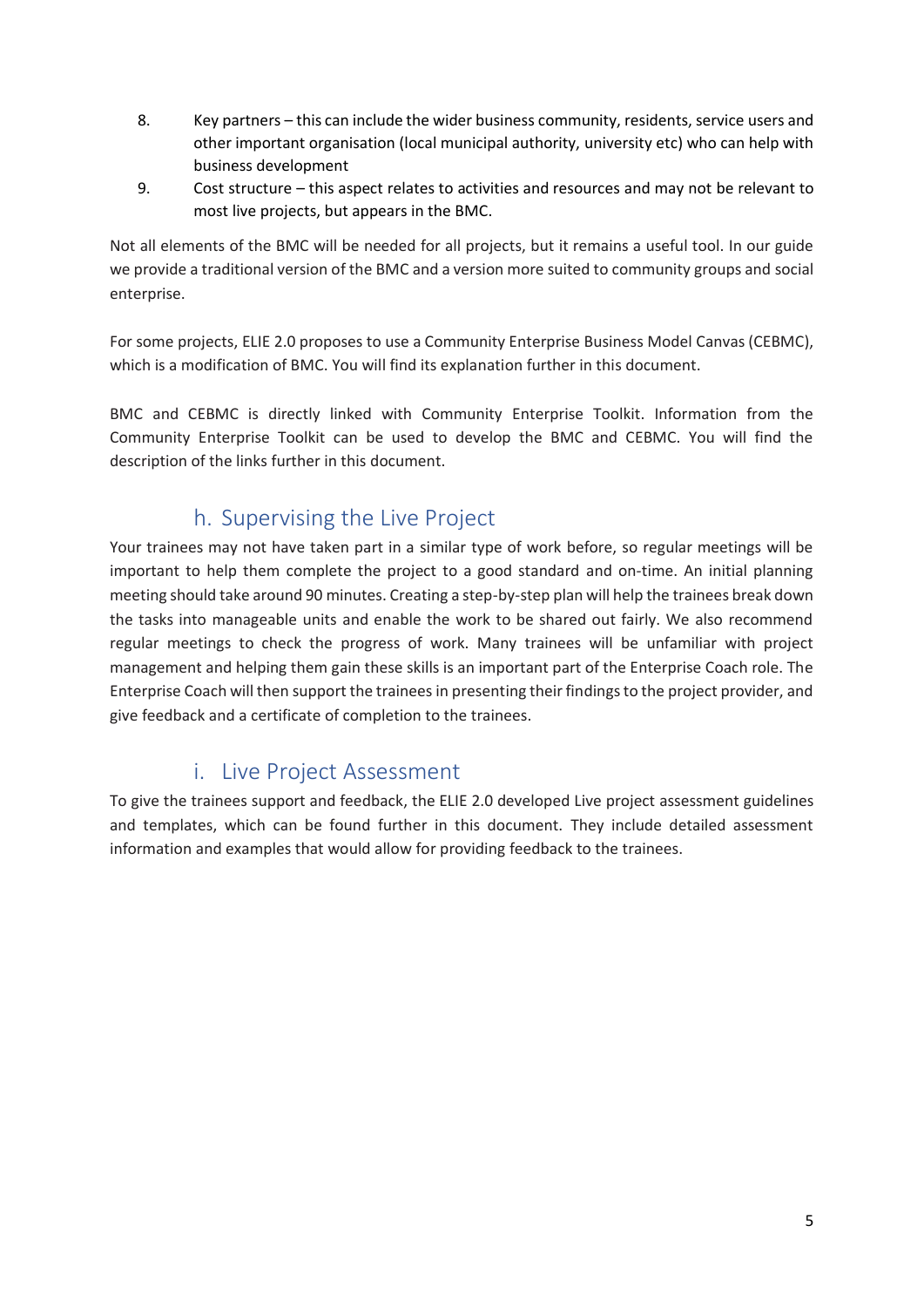- 8. Key partners this can include the wider business community, residents, service users and other important organisation (local municipal authority, university etc) who can help with business development
- 9. Cost structure this aspect relates to activities and resources and may not be relevant to most live projects, but appears in the BMC.

Not all elements of the BMC will be needed for all projects, but it remains a useful tool. In our guide we provide a traditional version of the BMC and a version more suited to community groups and social enterprise.

For some projects, ELIE 2.0 proposes to use a Community Enterprise Business Model Canvas (CEBMC), which is a modification of BMC. You will find its explanation further in this document.

BMC and CEBMC is directly linked with Community Enterprise Toolkit. Information from the Community Enterprise Toolkit can be used to develop the BMC and CEBMC. You will find the description of the links further in this document.

# h. Supervising the Live Project

<span id="page-4-0"></span>Your trainees may not have taken part in a similar type of work before, so regular meetings will be important to help them complete the project to a good standard and on-time. An initial planning meeting should take around 90 minutes. Creating a step-by-step plan will help the trainees break down the tasks into manageable units and enable the work to be shared out fairly. We also recommend regular meetings to check the progress of work. Many trainees will be unfamiliar with project management and helping them gain these skills is an important part of the Enterprise Coach role. The Enterprise Coach will then support the trainees in presenting their findings to the project provider, and give feedback and a certificate of completion to the trainees.

# i. Live Project Assessment

<span id="page-4-1"></span>To give the trainees support and feedback, the ELIE 2.0 developed Live project assessment guidelines and templates, which can be found further in this document. They include detailed assessment information and examples that would allow for providing feedback to the trainees.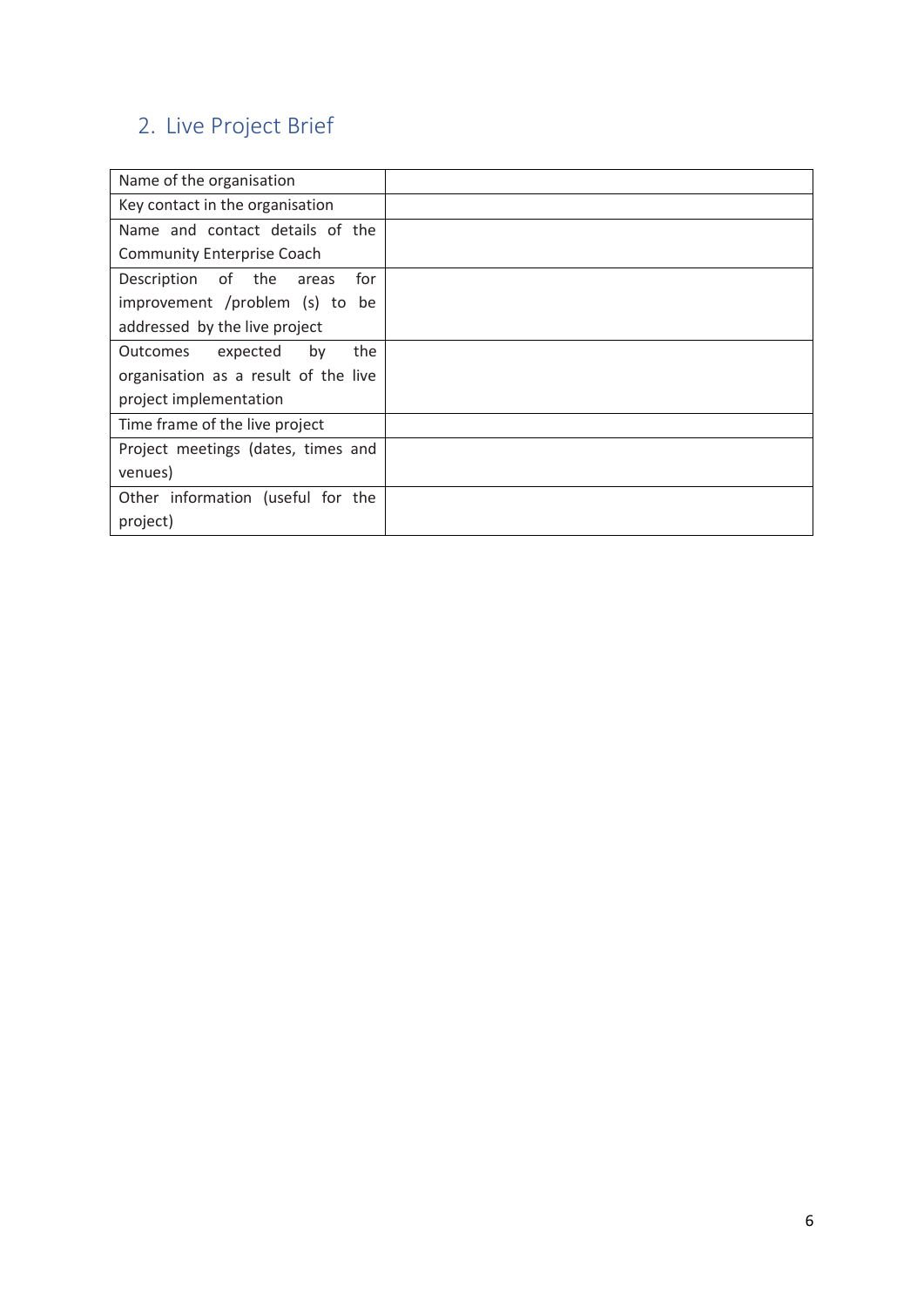# <span id="page-5-0"></span>2. Live Project Brief

| Name of the organisation             |  |
|--------------------------------------|--|
| Key contact in the organisation      |  |
| Name and contact details of the      |  |
| <b>Community Enterprise Coach</b>    |  |
| Description of the<br>for<br>areas   |  |
| improvement /problem (s) to be       |  |
| addressed by the live project        |  |
| expected<br>the<br>Outcomes<br>by    |  |
| organisation as a result of the live |  |
| project implementation               |  |
| Time frame of the live project       |  |
| Project meetings (dates, times and   |  |
| venues)                              |  |
| Other information (useful for the    |  |
| project)                             |  |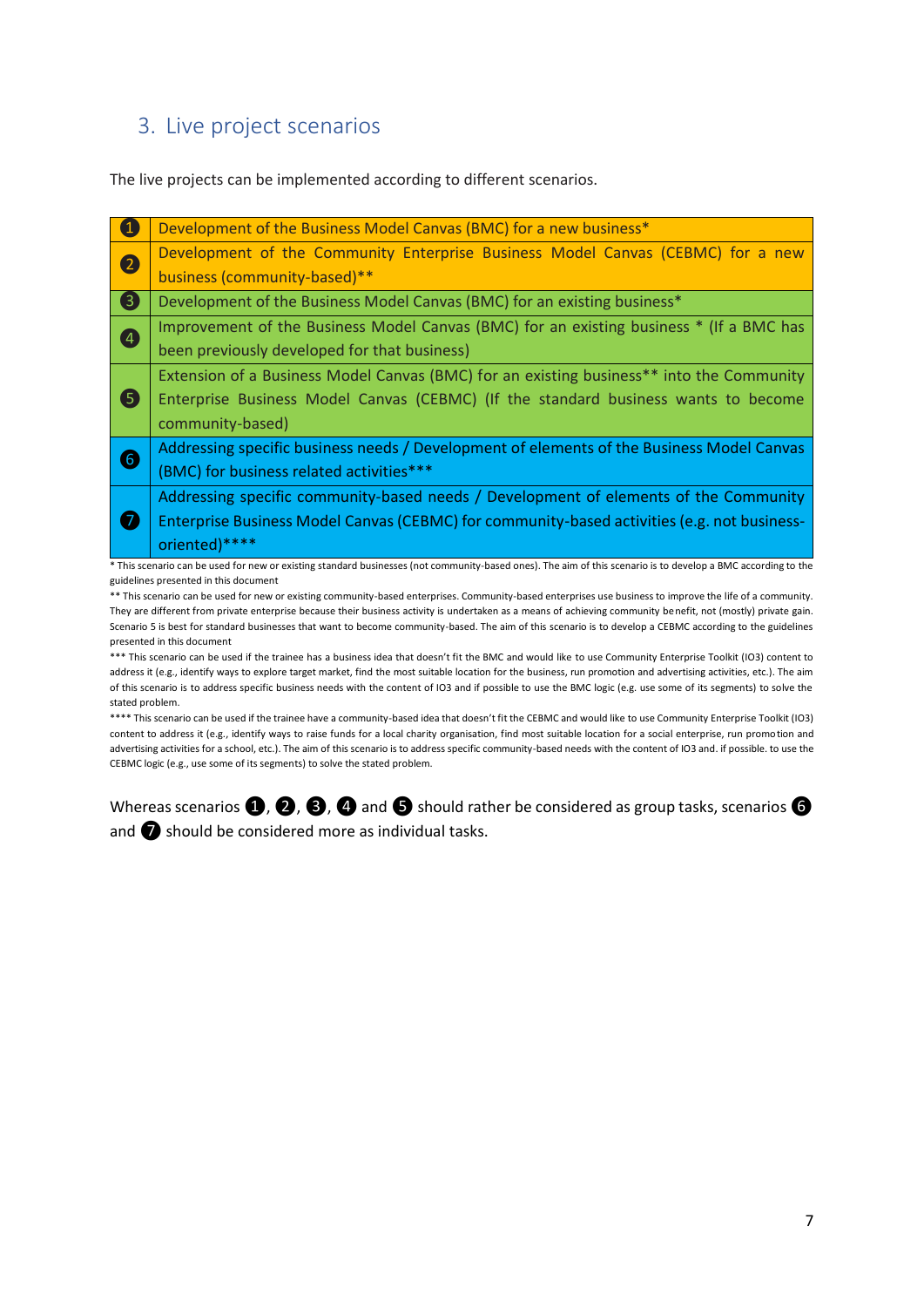### <span id="page-6-0"></span>3. Live project scenarios

The live projects can be implemented according to different scenarios.

| $\blacksquare$          | Development of the Business Model Canvas (BMC) for a new business*                          |
|-------------------------|---------------------------------------------------------------------------------------------|
| 2                       | Development of the Community Enterprise Business Model Canvas (CEBMC) for a new             |
|                         | business (community-based)**                                                                |
| $\overline{\mathbf{6}}$ | Development of the Business Model Canvas (BMC) for an existing business*                    |
| 4                       | Improvement of the Business Model Canvas (BMC) for an existing business * (If a BMC has     |
|                         | been previously developed for that business)                                                |
|                         | Extension of a Business Model Canvas (BMC) for an existing business** into the Community    |
| <b>6</b>                | Enterprise Business Model Canvas (CEBMC) (If the standard business wants to become          |
|                         | community-based)                                                                            |
| 6                       | Addressing specific business needs / Development of elements of the Business Model Canvas   |
|                         | (BMC) for business related activities***                                                    |
|                         | Addressing specific community-based needs / Development of elements of the Community        |
| <b>a</b>                | Enterprise Business Model Canvas (CEBMC) for community-based activities (e.g. not business- |
|                         | oriented)****                                                                               |

\* This scenario can be used for new or existing standard businesses (not community-based ones). The aim of this scenario is to develop a BMC according to the guidelines presented in this document

\*\* This scenario can be used for new or existing community-based enterprises. Community-based enterprises use business to improve the life of a community. They are different from private enterprise because their business activity is undertaken as a means of achieving community benefit, not (mostly) private gain. Scenario 5 is best for standard businesses that want to become community-based. The aim of this scenario is to develop a CEBMC according to the guidelines presented in this document

\*\*\* This scenario can be used if the trainee has a business idea that doesn't fit the BMC and would like to use Community Enterprise Toolkit (IO3) content to address it (e.g., identify ways to explore target market, find the most suitable location for the business, run promotion and advertising activities, etc.). The aim of this scenario is to address specific business needs with the content of IO3 and if possible to use the BMC logic (e.g. use some of its segments) to solve the stated problem.

\*\*\*\* This scenario can be used if the trainee have a community-based idea that doesn't fit the CEBMC and would like to use Community Enterprise Toolkit (IO3) content to address it (e.g., identify ways to raise funds for a local charity organisation, find most suitable location for a social enterprise, run promotion and advertising activities for a school, etc.). The aim of this scenario is to address specific community-based needs with the content of IO3 and. if possible. to use the CEBMC logic (e.g., use some of its segments) to solve the stated problem.

Whereas scenarios  $\mathbf{Q}, \mathbf{Q}, \mathbf{Q}$ , and  $\mathbf{G}$  should rather be considered as group tasks, scenarios  $\mathbf{G}$ and **O** should be considered more as individual tasks.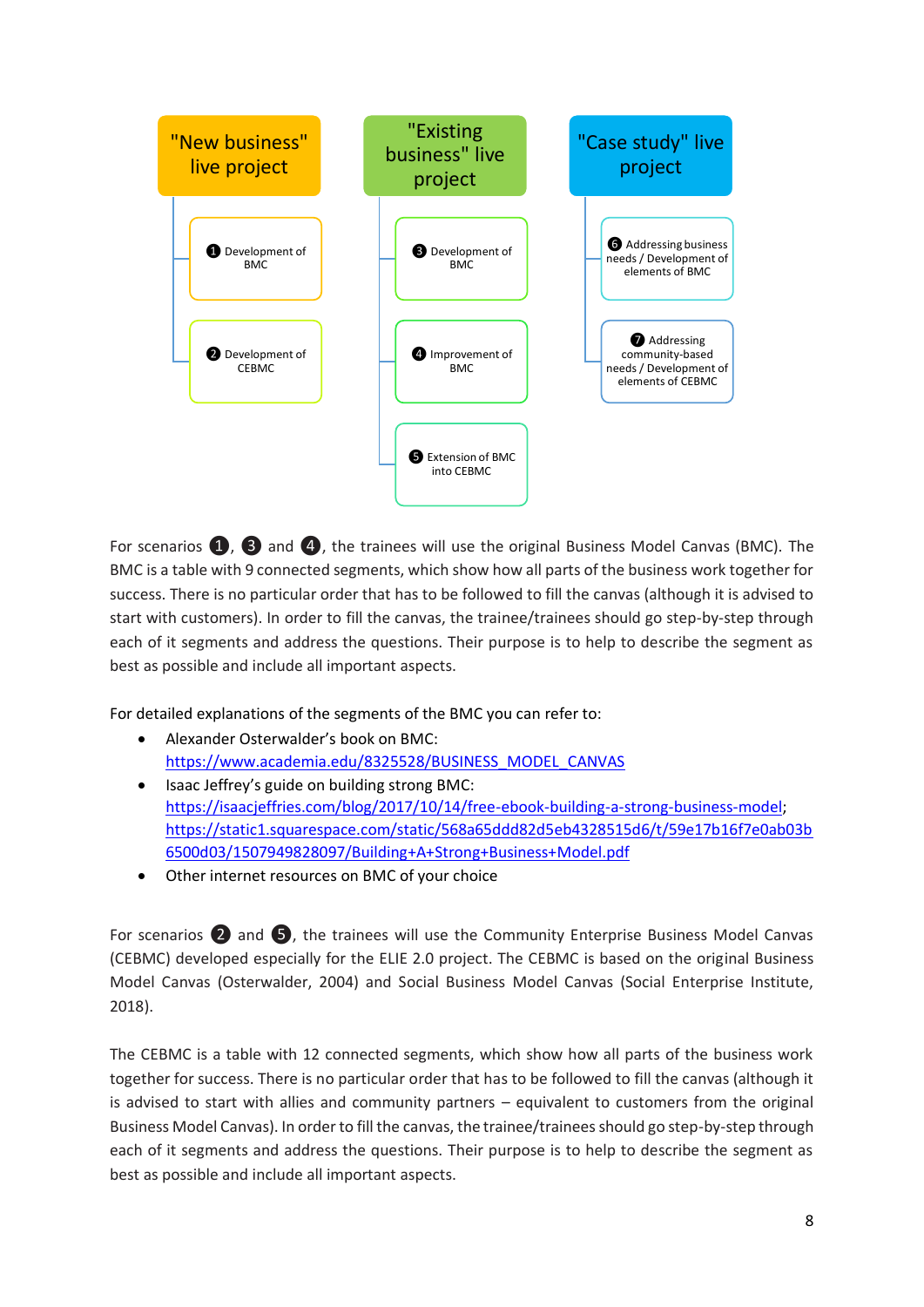

For scenarios  $\bigcirc$ ,  $\bigcirc$  and  $\bigcirc$ , the trainees will use the original Business Model Canvas (BMC). The BMC is a table with 9 connected segments, which show how all parts of the business work together for success. There is no particular order that has to be followed to fill the canvas (although it is advised to start with customers). In order to fill the canvas, the trainee/trainees should go step-by-step through each of it segments and address the questions. Their purpose is to help to describe the segment as best as possible and include all important aspects.

For detailed explanations of the segments of the BMC you can refer to:

- Alexander Osterwalder's book on BMC: [https://www.academia.edu/8325528/BUSINESS\\_MODEL\\_CANVAS](https://www.academia.edu/8325528/BUSINESS_MODEL_CANVAS)
- Isaac Jeffrey's guide on building strong BMC: [https://isaacjeffries.com/blog/2017/10/14/free-ebook-building-a-strong-business-model;](https://isaacjeffries.com/blog/2017/10/14/free-ebook-building-a-strong-business-model) [https://static1.squarespace.com/static/568a65ddd82d5eb4328515d6/t/59e17b16f7e0ab03b](https://static1.squarespace.com/static/568a65ddd82d5eb4328515d6/t/59e17b16f7e0ab03b6500d03/1507949828097/Building+A+Strong+Business+Model.pdf) [6500d03/1507949828097/Building+A+Strong+Business+Model.pdf](https://static1.squarespace.com/static/568a65ddd82d5eb4328515d6/t/59e17b16f7e0ab03b6500d03/1507949828097/Building+A+Strong+Business+Model.pdf)
- Other internet resources on BMC of your choice

For scenarios 2 and 5, the trainees will use the Community Enterprise Business Model Canvas (CEBMC) developed especially for the ELIE 2.0 project. The CEBMC is based on the original Business Model Canvas (Osterwalder, 2004) and Social Business Model Canvas (Social Enterprise Institute, 2018).

The CEBMC is a table with 12 connected segments, which show how all parts of the business work together for success. There is no particular order that has to be followed to fill the canvas (although it is advised to start with allies and community partners – equivalent to customers from the original Business Model Canvas). In order to fill the canvas, the trainee/trainees should go step-by-step through each of it segments and address the questions. Their purpose is to help to describe the segment as best as possible and include all important aspects.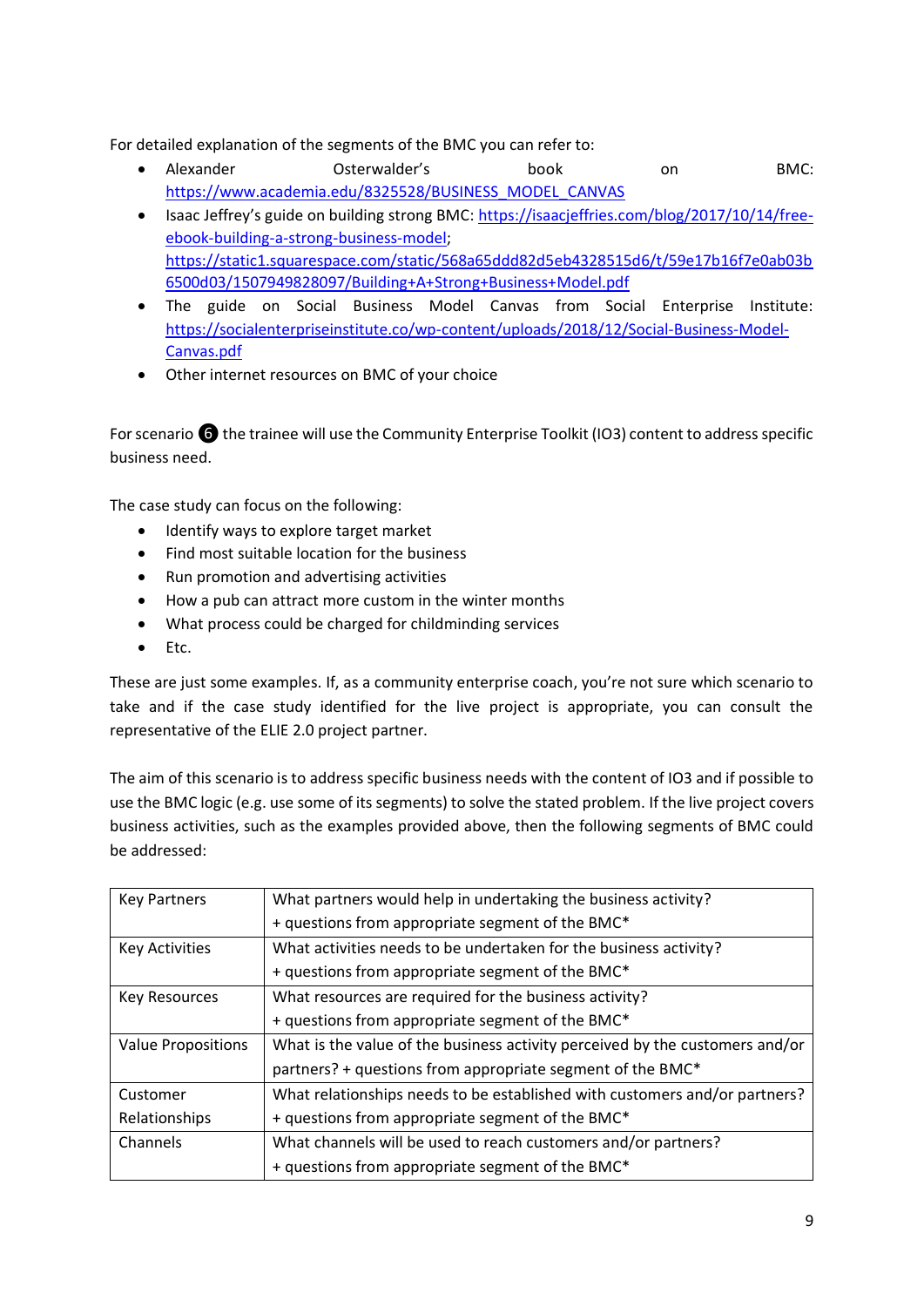For detailed explanation of the segments of the BMC you can refer to:

- Alexander Osterwalder's book on BMC: [https://www.academia.edu/8325528/BUSINESS\\_MODEL\\_CANVAS](https://www.academia.edu/8325528/BUSINESS_MODEL_CANVAS)
- Isaac Jeffrey's guide on building strong BMC: [https://isaacjeffries.com/blog/2017/10/14/free](https://isaacjeffries.com/blog/2017/10/14/free-ebook-building-a-strong-business-model)[ebook-building-a-strong-business-model;](https://isaacjeffries.com/blog/2017/10/14/free-ebook-building-a-strong-business-model) [https://static1.squarespace.com/static/568a65ddd82d5eb4328515d6/t/59e17b16f7e0ab03b](https://static1.squarespace.com/static/568a65ddd82d5eb4328515d6/t/59e17b16f7e0ab03b6500d03/1507949828097/Building+A+Strong+Business+Model.pdf) [6500d03/1507949828097/Building+A+Strong+Business+Model.pdf](https://static1.squarespace.com/static/568a65ddd82d5eb4328515d6/t/59e17b16f7e0ab03b6500d03/1507949828097/Building+A+Strong+Business+Model.pdf)
- The guide on Social Business Model Canvas from Social Enterprise Institute: [https://socialenterpriseinstitute.co/wp-content/uploads/2018/12/Social-Business-Model-](https://socialenterpriseinstitute.co/wp-content/uploads/2018/12/Social-Business-Model-Canvas.pdf)[Canvas.pdf](https://socialenterpriseinstitute.co/wp-content/uploads/2018/12/Social-Business-Model-Canvas.pdf)
- Other internet resources on BMC of your choice

For scenario  $\bigodot$  the trainee will use the Community Enterprise Toolkit (IO3) content to address specific business need.

The case study can focus on the following:

- Identify ways to explore target market
- Find most suitable location for the business
- Run promotion and advertising activities
- How a pub can attract more custom in the winter months
- What process could be charged for childminding services
- Etc.

These are just some examples. If, as a community enterprise coach, you're not sure which scenario to take and if the case study identified for the live project is appropriate, you can consult the representative of the ELIE 2.0 project partner.

The aim of this scenario is to address specific business needs with the content of IO3 and if possible to use the BMC logic (e.g. use some of its segments) to solve the stated problem. If the live project covers business activities, such as the examples provided above, then the following segments of BMC could be addressed:

| <b>Key Partners</b>       | What partners would help in undertaking the business activity?               |
|---------------------------|------------------------------------------------------------------------------|
|                           | + questions from appropriate segment of the BMC*                             |
| <b>Key Activities</b>     | What activities needs to be undertaken for the business activity?            |
|                           | + questions from appropriate segment of the BMC*                             |
| <b>Key Resources</b>      | What resources are required for the business activity?                       |
|                           | + questions from appropriate segment of the BMC*                             |
| <b>Value Propositions</b> | What is the value of the business activity perceived by the customers and/or |
|                           | partners? + questions from appropriate segment of the BMC*                   |
| Customer                  | What relationships needs to be established with customers and/or partners?   |
| Relationships             | + questions from appropriate segment of the BMC*                             |
| Channels                  | What channels will be used to reach customers and/or partners?               |
|                           | + questions from appropriate segment of the BMC*                             |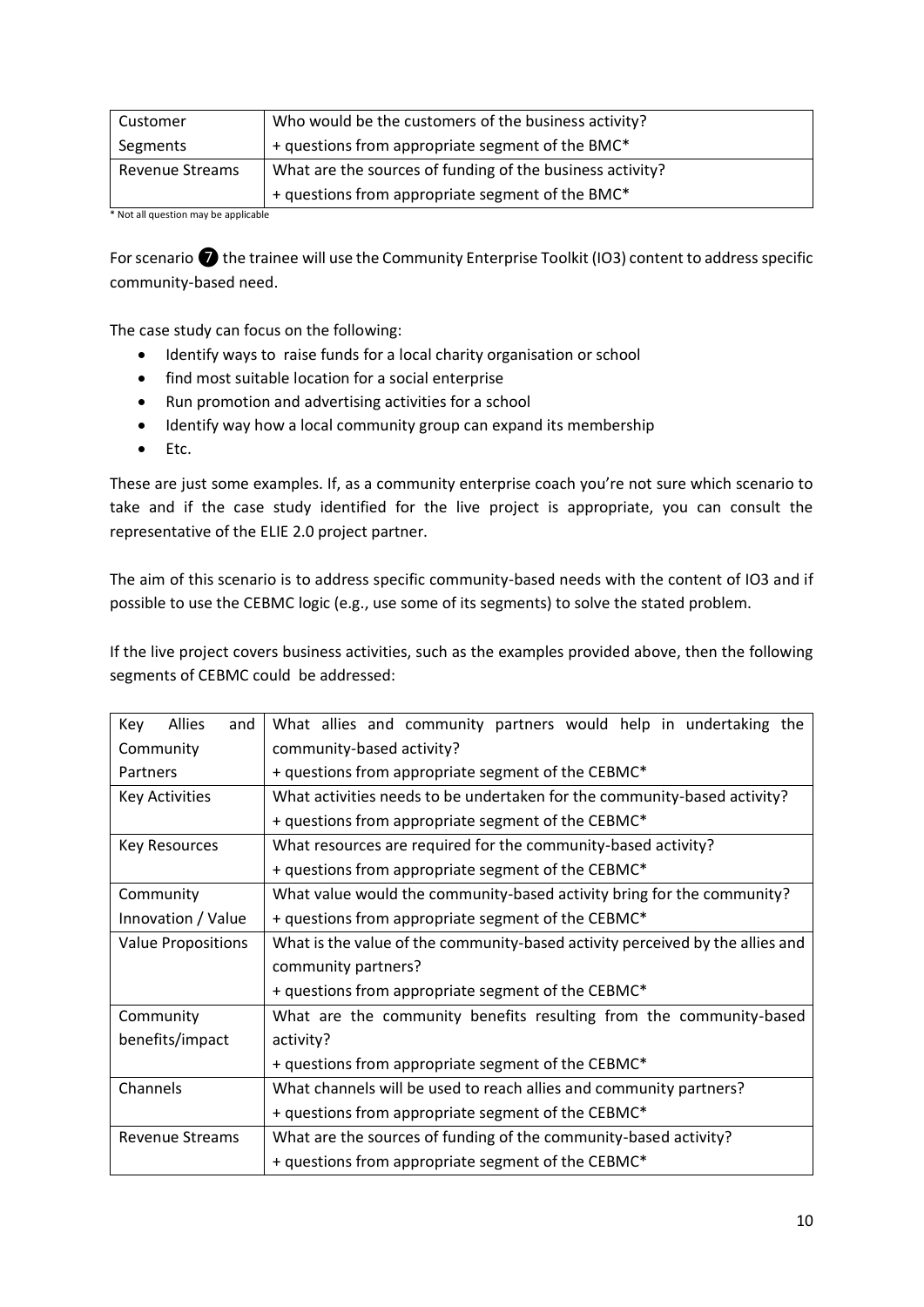| Customer               | Who would be the customers of the business activity?      |
|------------------------|-----------------------------------------------------------|
| Segments               | + questions from appropriate segment of the BMC*          |
| <b>Revenue Streams</b> | What are the sources of funding of the business activity? |
|                        | + questions from appropriate segment of the BMC*          |

\* Not all question may be applicable

For scenario  $\bullet$  the trainee will use the Community Enterprise Toolkit (IO3) content to address specific community-based need.

The case study can focus on the following:

- Identify ways to raise funds for a local charity organisation or school
- find most suitable location for a social enterprise
- Run promotion and advertising activities for a school
- Identify way how a local community group can expand its membership
- Etc.

These are just some examples. If, as a community enterprise coach you're not sure which scenario to take and if the case study identified for the live project is appropriate, you can consult the representative of the ELIE 2.0 project partner.

The aim of this scenario is to address specific community-based needs with the content of IO3 and if possible to use the CEBMC logic (e.g., use some of its segments) to solve the stated problem.

If the live project covers business activities, such as the examples provided above, then the following segments of CEBMC could be addressed:

| <b>Allies</b><br>Key<br>and            | What allies and community partners would help in undertaking the              |  |  |  |
|----------------------------------------|-------------------------------------------------------------------------------|--|--|--|
| community-based activity?<br>Community |                                                                               |  |  |  |
| Partners                               | + questions from appropriate segment of the CEBMC*                            |  |  |  |
| <b>Key Activities</b>                  | What activities needs to be undertaken for the community-based activity?      |  |  |  |
|                                        | + questions from appropriate segment of the CEBMC*                            |  |  |  |
| <b>Key Resources</b>                   | What resources are required for the community-based activity?                 |  |  |  |
|                                        | + questions from appropriate segment of the CEBMC*                            |  |  |  |
| Community                              | What value would the community-based activity bring for the community?        |  |  |  |
| Innovation / Value                     | + questions from appropriate segment of the CEBMC*                            |  |  |  |
| <b>Value Propositions</b>              | What is the value of the community-based activity perceived by the allies and |  |  |  |
|                                        | community partners?                                                           |  |  |  |
|                                        | + questions from appropriate segment of the CEBMC*                            |  |  |  |
| Community                              | What are the community benefits resulting from the community-based            |  |  |  |
| benefits/impact                        | activity?                                                                     |  |  |  |
|                                        | + questions from appropriate segment of the CEBMC*                            |  |  |  |
| Channels                               | What channels will be used to reach allies and community partners?            |  |  |  |
|                                        | + questions from appropriate segment of the CEBMC*                            |  |  |  |
| <b>Revenue Streams</b>                 | What are the sources of funding of the community-based activity?              |  |  |  |
|                                        | + questions from appropriate segment of the CEBMC*                            |  |  |  |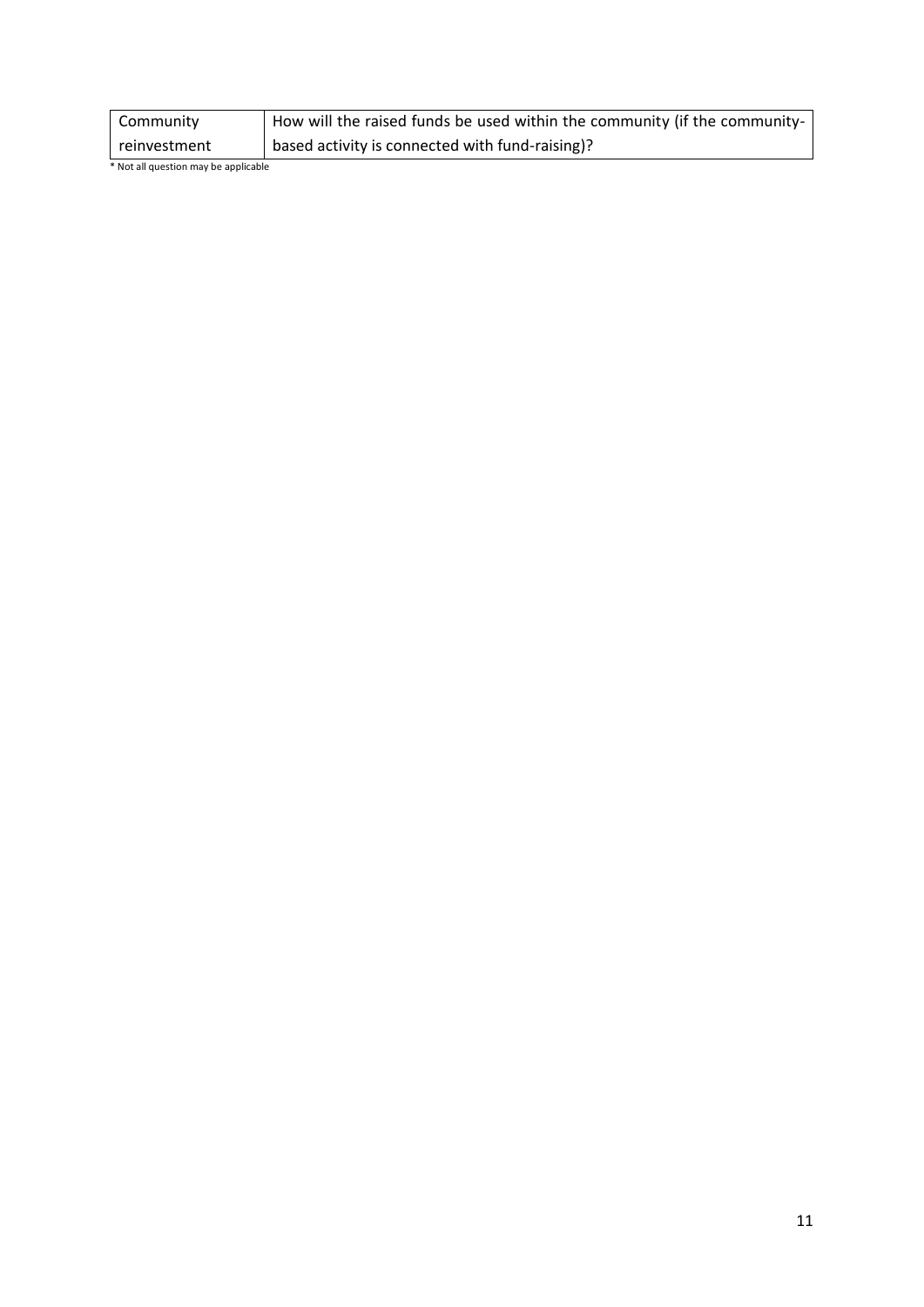| Community    | How will the raised funds be used within the community (if the community- |
|--------------|---------------------------------------------------------------------------|
| reinvestment | based activity is connected with fund-raising)?                           |

\* Not all question may be applicable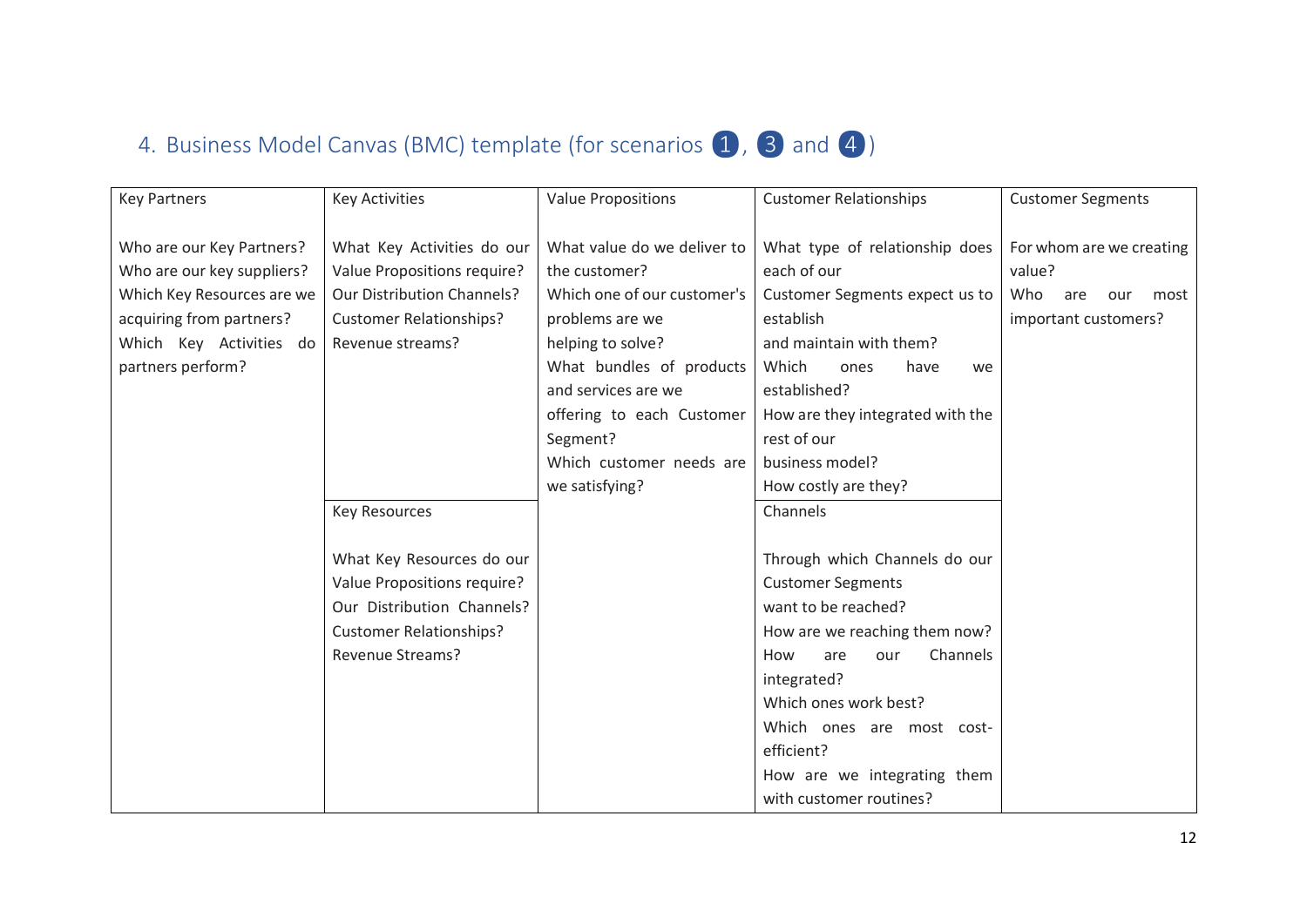# 4. Business Model Canvas (BMC) template (for scenarios  $\begin{pmatrix} 1 \\ 0 \end{pmatrix}$ , 3 and 4)

<span id="page-11-0"></span>

| <b>Key Partners</b>                                                                                                                                               | <b>Key Activities</b>                                                                                                                                | <b>Value Propositions</b>                                                                                                                                                                                                                                                                                                                                                                                                                                                                                                             | <b>Customer Relationships</b>                                                                                                                                                                                                                                                                   | <b>Customer Segments</b>                                                                |  |
|-------------------------------------------------------------------------------------------------------------------------------------------------------------------|------------------------------------------------------------------------------------------------------------------------------------------------------|---------------------------------------------------------------------------------------------------------------------------------------------------------------------------------------------------------------------------------------------------------------------------------------------------------------------------------------------------------------------------------------------------------------------------------------------------------------------------------------------------------------------------------------|-------------------------------------------------------------------------------------------------------------------------------------------------------------------------------------------------------------------------------------------------------------------------------------------------|-----------------------------------------------------------------------------------------|--|
| Who are our Key Partners?<br>Who are our key suppliers?<br>Which Key Resources are we<br>acquiring from partners?<br>Which Key Activities do<br>partners perform? | What Key Activities do our<br>Value Propositions require?<br><b>Our Distribution Channels?</b><br><b>Customer Relationships?</b><br>Revenue streams? | What value do we deliver to<br>What type of relationship does<br>each of our<br>the customer?<br>Which one of our customer's<br>Customer Segments expect us to<br>establish<br>problems are we<br>helping to solve?<br>and maintain with them?<br>What bundles of products<br>Which<br>ones<br>have<br>we<br>and services are we<br>established?<br>How are they integrated with the<br>offering to each Customer<br>rest of our<br>Segment?<br>Which customer needs are<br>business model?<br>we satisfying?<br>How costly are they? |                                                                                                                                                                                                                                                                                                 | For whom are we creating<br>value?<br>Who<br>are<br>our<br>most<br>important customers? |  |
|                                                                                                                                                                   | <b>Key Resources</b>                                                                                                                                 |                                                                                                                                                                                                                                                                                                                                                                                                                                                                                                                                       | Channels                                                                                                                                                                                                                                                                                        |                                                                                         |  |
|                                                                                                                                                                   | What Key Resources do our<br>Value Propositions require?<br>Our Distribution Channels?<br><b>Customer Relationships?</b><br><b>Revenue Streams?</b>  |                                                                                                                                                                                                                                                                                                                                                                                                                                                                                                                                       | Through which Channels do our<br><b>Customer Segments</b><br>want to be reached?<br>How are we reaching them now?<br>Channels<br>How<br>are<br>our<br>integrated?<br>Which ones work best?<br>Which ones are most cost-<br>efficient?<br>How are we integrating them<br>with customer routines? |                                                                                         |  |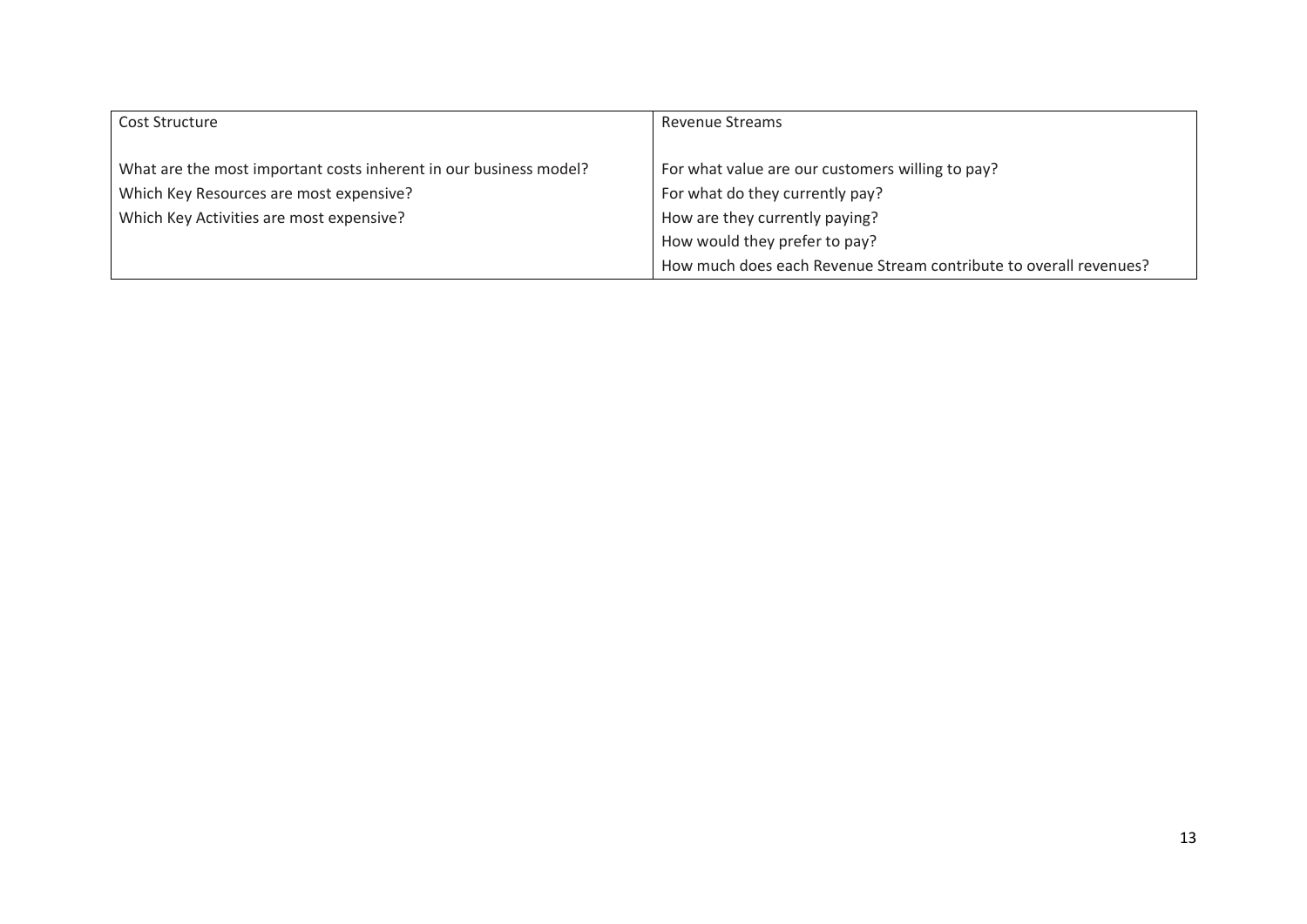| Cost Structure                                                    | <b>Revenue Streams</b>                                            |
|-------------------------------------------------------------------|-------------------------------------------------------------------|
|                                                                   |                                                                   |
| What are the most important costs inherent in our business model? | For what value are our customers willing to pay?                  |
| Which Key Resources are most expensive?                           | For what do they currently pay?                                   |
| Which Key Activities are most expensive?                          | How are they currently paying?                                    |
|                                                                   | How would they prefer to pay?                                     |
|                                                                   | How much does each Revenue Stream contribute to overall revenues? |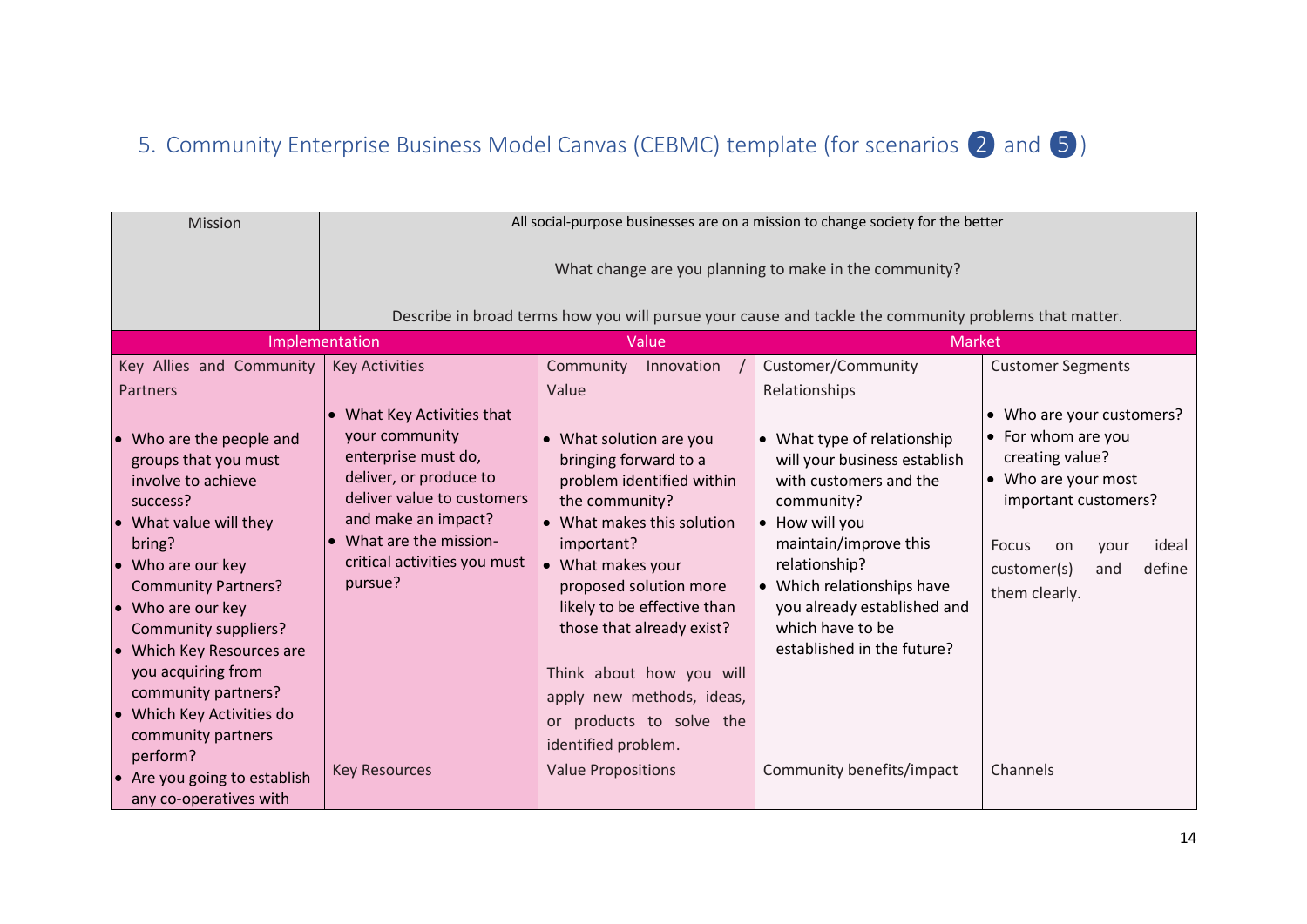# 5. Community Enterprise Business Model Canvas (CEBMC) template (for scenarios 2 and 5)

<span id="page-13-0"></span>

| Mission                                                                                                                                                                                                                                                                                                                                                                              | All social-purpose businesses are on a mission to change society for the better                                                                                                                                          |                                                                                                                                                                                                                                                                                                                                                                    |                                                                                                                                                                                                                                                                                |                                                                                                                                                                                                    |  |
|--------------------------------------------------------------------------------------------------------------------------------------------------------------------------------------------------------------------------------------------------------------------------------------------------------------------------------------------------------------------------------------|--------------------------------------------------------------------------------------------------------------------------------------------------------------------------------------------------------------------------|--------------------------------------------------------------------------------------------------------------------------------------------------------------------------------------------------------------------------------------------------------------------------------------------------------------------------------------------------------------------|--------------------------------------------------------------------------------------------------------------------------------------------------------------------------------------------------------------------------------------------------------------------------------|----------------------------------------------------------------------------------------------------------------------------------------------------------------------------------------------------|--|
|                                                                                                                                                                                                                                                                                                                                                                                      |                                                                                                                                                                                                                          |                                                                                                                                                                                                                                                                                                                                                                    |                                                                                                                                                                                                                                                                                |                                                                                                                                                                                                    |  |
|                                                                                                                                                                                                                                                                                                                                                                                      |                                                                                                                                                                                                                          |                                                                                                                                                                                                                                                                                                                                                                    | Describe in broad terms how you will pursue your cause and tackle the community problems that matter.                                                                                                                                                                          |                                                                                                                                                                                                    |  |
|                                                                                                                                                                                                                                                                                                                                                                                      | Implementation                                                                                                                                                                                                           | Value                                                                                                                                                                                                                                                                                                                                                              | Market                                                                                                                                                                                                                                                                         |                                                                                                                                                                                                    |  |
| Key Allies and Community                                                                                                                                                                                                                                                                                                                                                             | <b>Key Activities</b>                                                                                                                                                                                                    | Community<br>Innovation                                                                                                                                                                                                                                                                                                                                            | Customer/Community                                                                                                                                                                                                                                                             | <b>Customer Segments</b>                                                                                                                                                                           |  |
| <b>Partners</b>                                                                                                                                                                                                                                                                                                                                                                      |                                                                                                                                                                                                                          | Value                                                                                                                                                                                                                                                                                                                                                              | Relationships                                                                                                                                                                                                                                                                  |                                                                                                                                                                                                    |  |
| Who are the people and<br>$\bullet$<br>groups that you must<br>involve to achieve<br>success?<br>What value will they<br>bring?<br>Who are our key<br><b>Community Partners?</b><br>Who are our key<br>$\bullet$<br><b>Community suppliers?</b><br>Which Key Resources are<br>you acquiring from<br>community partners?<br>Which Key Activities do<br>community partners<br>perform? | • What Key Activities that<br>your community<br>enterprise must do,<br>deliver, or produce to<br>deliver value to customers<br>and make an impact?<br>• What are the mission-<br>critical activities you must<br>pursue? | • What solution are you<br>bringing forward to a<br>problem identified within<br>the community?<br>• What makes this solution<br>important?<br>• What makes your<br>proposed solution more<br>likely to be effective than<br>those that already exist?<br>Think about how you will<br>apply new methods, ideas,<br>or products to solve the<br>identified problem. | • What type of relationship<br>will your business establish<br>with customers and the<br>community?<br>• How will you<br>maintain/improve this<br>relationship?<br>• Which relationships have<br>you already established and<br>which have to be<br>established in the future? | • Who are your customers?<br>• For whom are you<br>creating value?<br>• Who are your most<br>important customers?<br>ideal<br>Focus<br>on<br>vour<br>define<br>customer(s)<br>and<br>them clearly. |  |
| Are you going to establish<br>any co-operatives with                                                                                                                                                                                                                                                                                                                                 | <b>Key Resources</b>                                                                                                                                                                                                     | <b>Value Propositions</b>                                                                                                                                                                                                                                                                                                                                          | Community benefits/impact                                                                                                                                                                                                                                                      | Channels                                                                                                                                                                                           |  |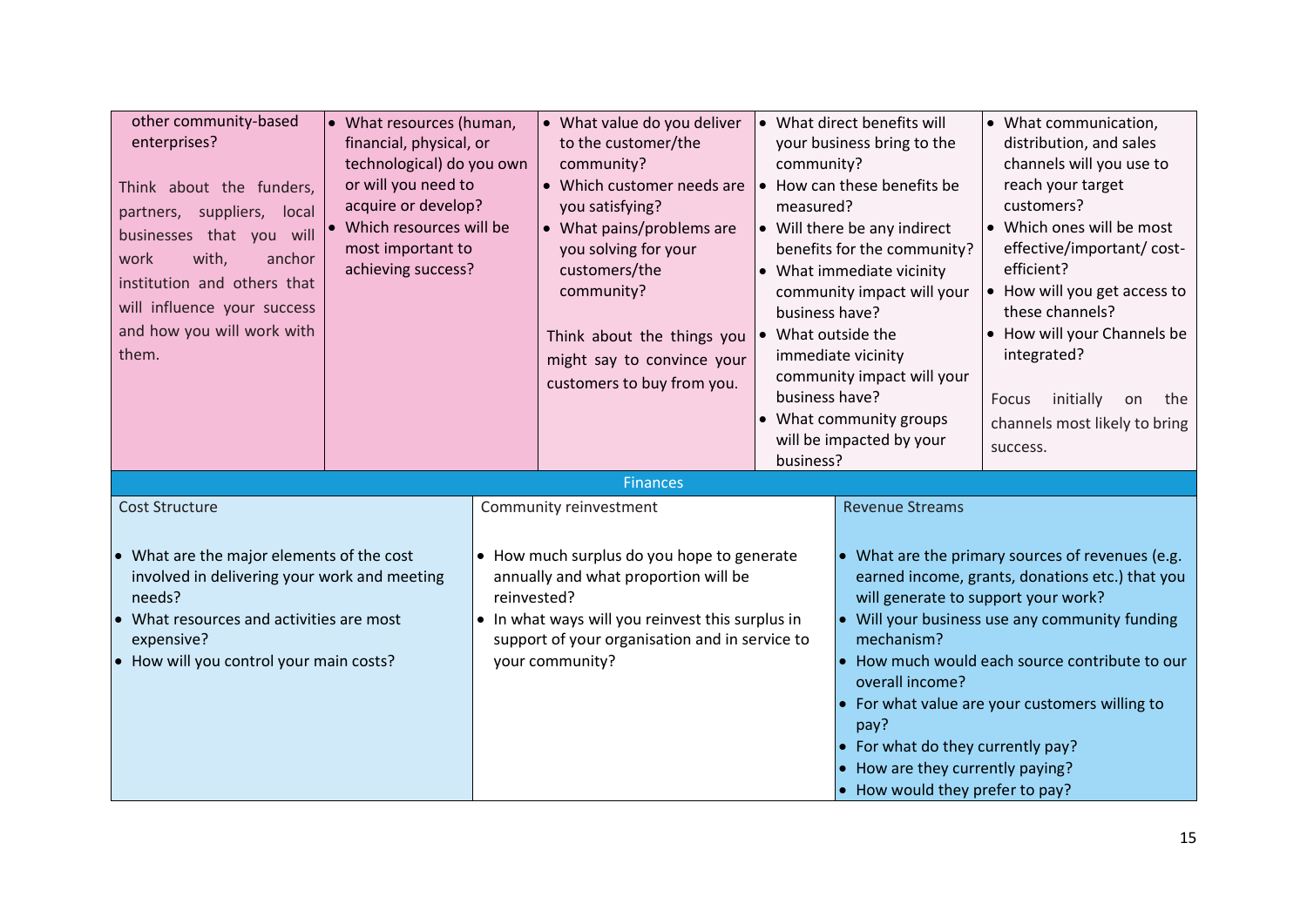| other community-based<br>• What resources (human,<br>enterprises?<br>financial, physical, or<br>technological) do you own<br>or will you need to<br>Think about the funders,<br>acquire or develop?<br>partners, suppliers, local<br>• Which resources will be<br>businesses that you will<br>most important to<br>with,<br>anchor<br>work<br>achieving success?<br>institution and others that<br>will influence your success<br>and how you will work with<br>them. |  | • What value do you deliver<br>to the customer/the<br>community?<br>• Which customer needs are<br>you satisfying?<br>• What pains/problems are<br>you solving for your<br>customers/the<br>community?<br>Think about the things you<br>might say to convince your<br>customers to buy from you. | community?<br>measured?<br>business have?<br>What outside the<br>business have?<br>business? | • What direct benefits will<br>your business bring to the<br>• How can these benefits be<br>• Will there be any indirect<br>benefits for the community?<br>• What immediate vicinity<br>community impact will your<br>immediate vicinity<br>community impact will your<br>• What community groups<br>will be impacted by your | • What communication,<br>distribution, and sales<br>channels will you use to<br>reach your target<br>customers?<br>• Which ones will be most<br>effective/important/ cost-<br>efficient?<br>• How will you get access to<br>these channels?<br>• How will your Channels be<br>integrated?<br>initially<br>Focus<br>on<br>the<br>channels most likely to bring<br>success. |
|-----------------------------------------------------------------------------------------------------------------------------------------------------------------------------------------------------------------------------------------------------------------------------------------------------------------------------------------------------------------------------------------------------------------------------------------------------------------------|--|-------------------------------------------------------------------------------------------------------------------------------------------------------------------------------------------------------------------------------------------------------------------------------------------------|----------------------------------------------------------------------------------------------|-------------------------------------------------------------------------------------------------------------------------------------------------------------------------------------------------------------------------------------------------------------------------------------------------------------------------------|---------------------------------------------------------------------------------------------------------------------------------------------------------------------------------------------------------------------------------------------------------------------------------------------------------------------------------------------------------------------------|
| <b>Cost Structure</b><br>What are the major elements of the cost<br>involved in delivering your work and meeting<br>needs?<br>What resources and activities are most<br>expensive?<br>How will you control your main costs?<br>$\bullet$                                                                                                                                                                                                                              |  | <b>Finances</b><br>Community reinvestment<br>• How much surplus do you hope to generate<br>annually and what proportion will be<br>reinvested?<br>• In what ways will you reinvest this surplus in<br>support of your organisation and in service to<br>your community?                         |                                                                                              | <b>Revenue Streams</b><br>will generate to support your work?<br>mechanism?<br>overall income?<br>pay?<br>• For what do they currently pay?<br>• How are they currently paying?<br>• How would they prefer to pay?                                                                                                            | • What are the primary sources of revenues (e.g.<br>earned income, grants, donations etc.) that you<br>$\bullet$ Will your business use any community funding<br>• How much would each source contribute to our<br>• For what value are your customers willing to                                                                                                         |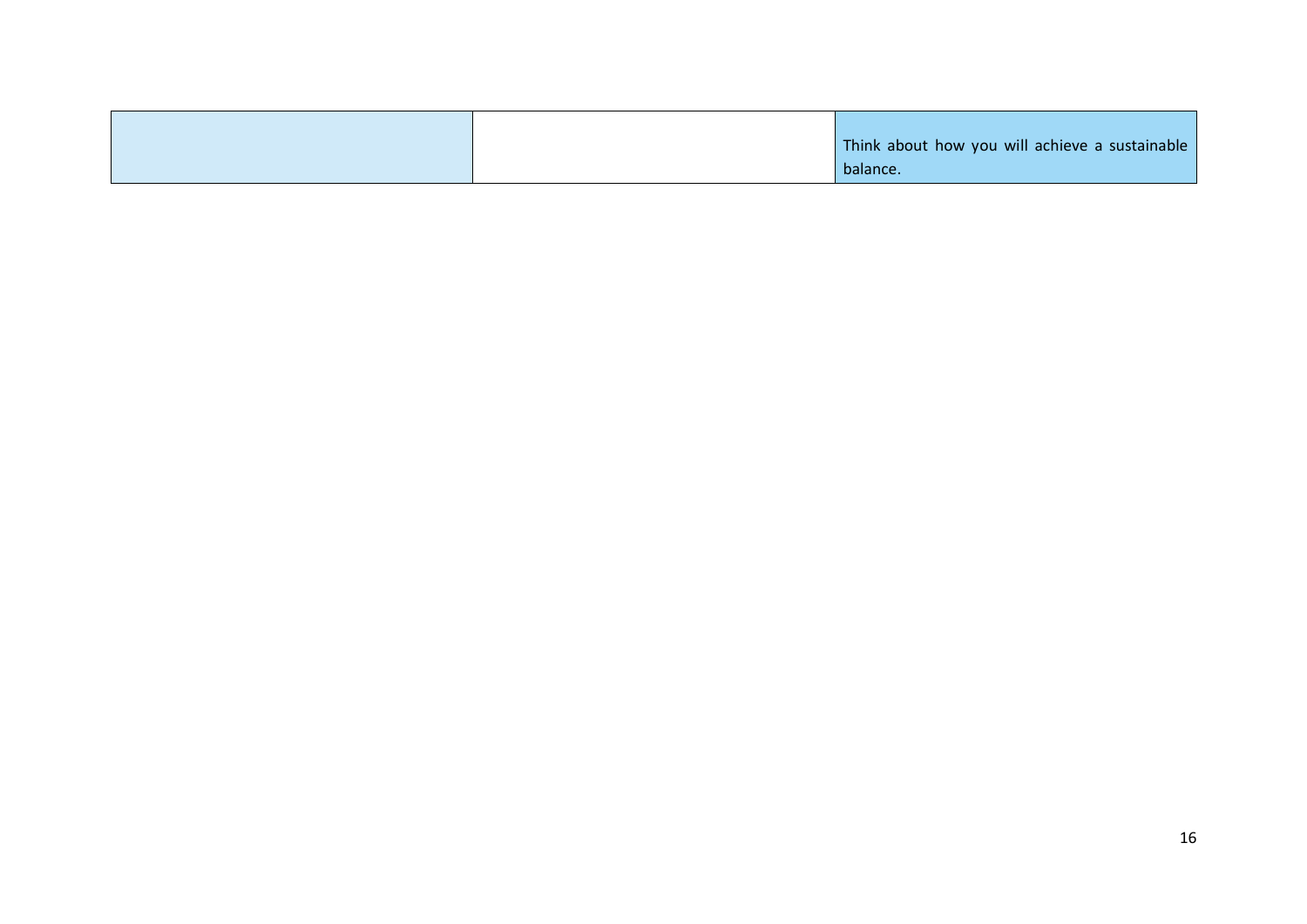|  | Think about how you will achieve a sustainable |
|--|------------------------------------------------|
|  | balance.                                       |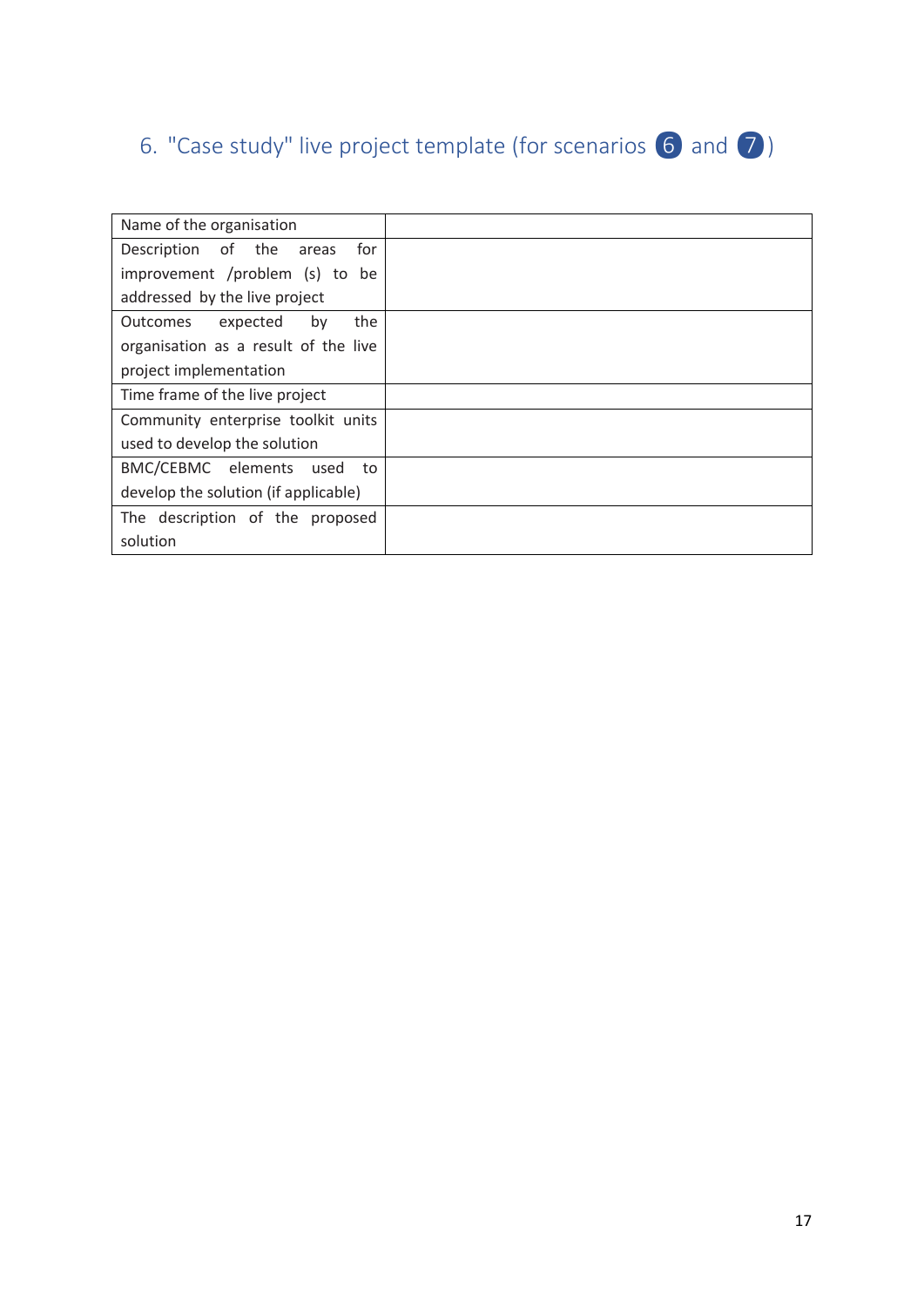# <span id="page-16-0"></span>6. "Case study" live project template (for scenarios 6 and 7)

| Name of the organisation             |  |
|--------------------------------------|--|
| Description of the<br>for<br>areas   |  |
| improvement /problem (s) to be       |  |
| addressed by the live project        |  |
| the<br>Outcomes<br>expected<br>by    |  |
| organisation as a result of the live |  |
| project implementation               |  |
| Time frame of the live project       |  |
| Community enterprise toolkit units   |  |
| used to develop the solution         |  |
| BMC/CEBMC elements<br>used<br>to     |  |
| develop the solution (if applicable) |  |
| The description of the proposed      |  |
| solution                             |  |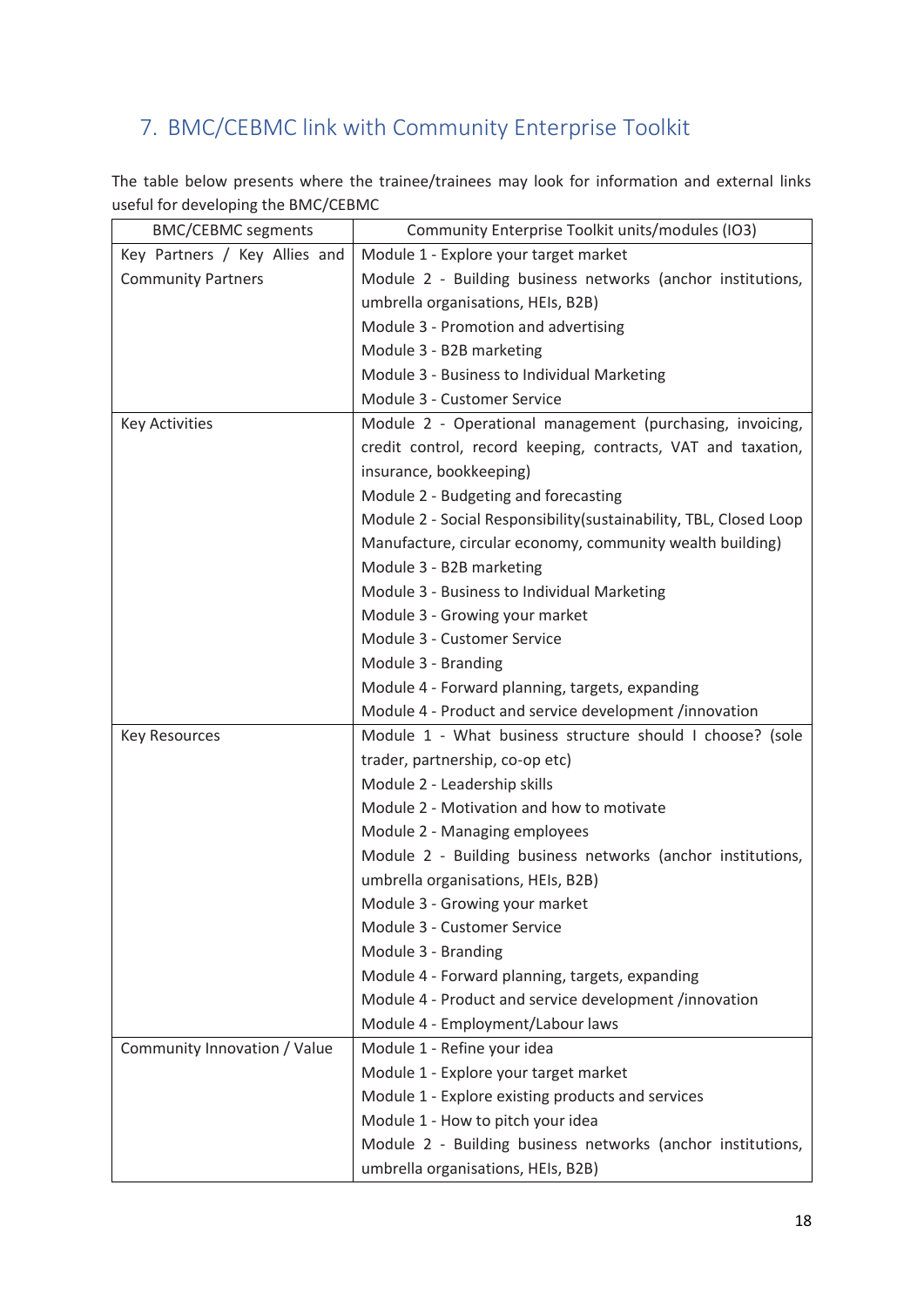# <span id="page-17-0"></span>7. BMC/CEBMC link with Community Enterprise Toolkit

The table below presents where the trainee/trainees may look for information and external links useful for developing the BMC/CEBMC

| <b>BMC/CEBMC segments</b>     | Community Enterprise Toolkit units/modules (IO3)                   |
|-------------------------------|--------------------------------------------------------------------|
| Key Partners / Key Allies and | Module 1 - Explore your target market                              |
| <b>Community Partners</b>     | Module 2 - Building business networks (anchor institutions,        |
|                               | umbrella organisations, HEIs, B2B)                                 |
|                               | Module 3 - Promotion and advertising                               |
|                               | Module 3 - B2B marketing                                           |
|                               | Module 3 - Business to Individual Marketing                        |
|                               | Module 3 - Customer Service                                        |
| <b>Key Activities</b>         | Module 2 - Operational management (purchasing, invoicing,          |
|                               | credit control, record keeping, contracts, VAT and taxation,       |
|                               | insurance, bookkeeping)                                            |
|                               | Module 2 - Budgeting and forecasting                               |
|                               | Module 2 - Social Responsibility (sustainability, TBL, Closed Loop |
|                               | Manufacture, circular economy, community wealth building)          |
|                               | Module 3 - B2B marketing                                           |
|                               | Module 3 - Business to Individual Marketing                        |
|                               | Module 3 - Growing your market                                     |
|                               | Module 3 - Customer Service                                        |
|                               | Module 3 - Branding                                                |
|                               | Module 4 - Forward planning, targets, expanding                    |
|                               | Module 4 - Product and service development /innovation             |
| <b>Key Resources</b>          | Module 1 - What business structure should I choose? (sole          |
|                               | trader, partnership, co-op etc)                                    |
|                               | Module 2 - Leadership skills                                       |
|                               | Module 2 - Motivation and how to motivate                          |
|                               | Module 2 - Managing employees                                      |
|                               | Module 2 - Building business networks (anchor institutions,        |
|                               | umbrella organisations, HEIs, B2B)                                 |
|                               | Module 3 - Growing your market                                     |
|                               | Module 3 - Customer Service                                        |
|                               | Module 3 - Branding                                                |
|                               | Module 4 - Forward planning, targets, expanding                    |
|                               | Module 4 - Product and service development /innovation             |
|                               | Module 4 - Employment/Labour laws                                  |
| Community Innovation / Value  | Module 1 - Refine your idea                                        |
|                               | Module 1 - Explore your target market                              |
|                               | Module 1 - Explore existing products and services                  |
|                               | Module 1 - How to pitch your idea                                  |
|                               | Module 2 - Building business networks (anchor institutions,        |
|                               | umbrella organisations, HEIs, B2B)                                 |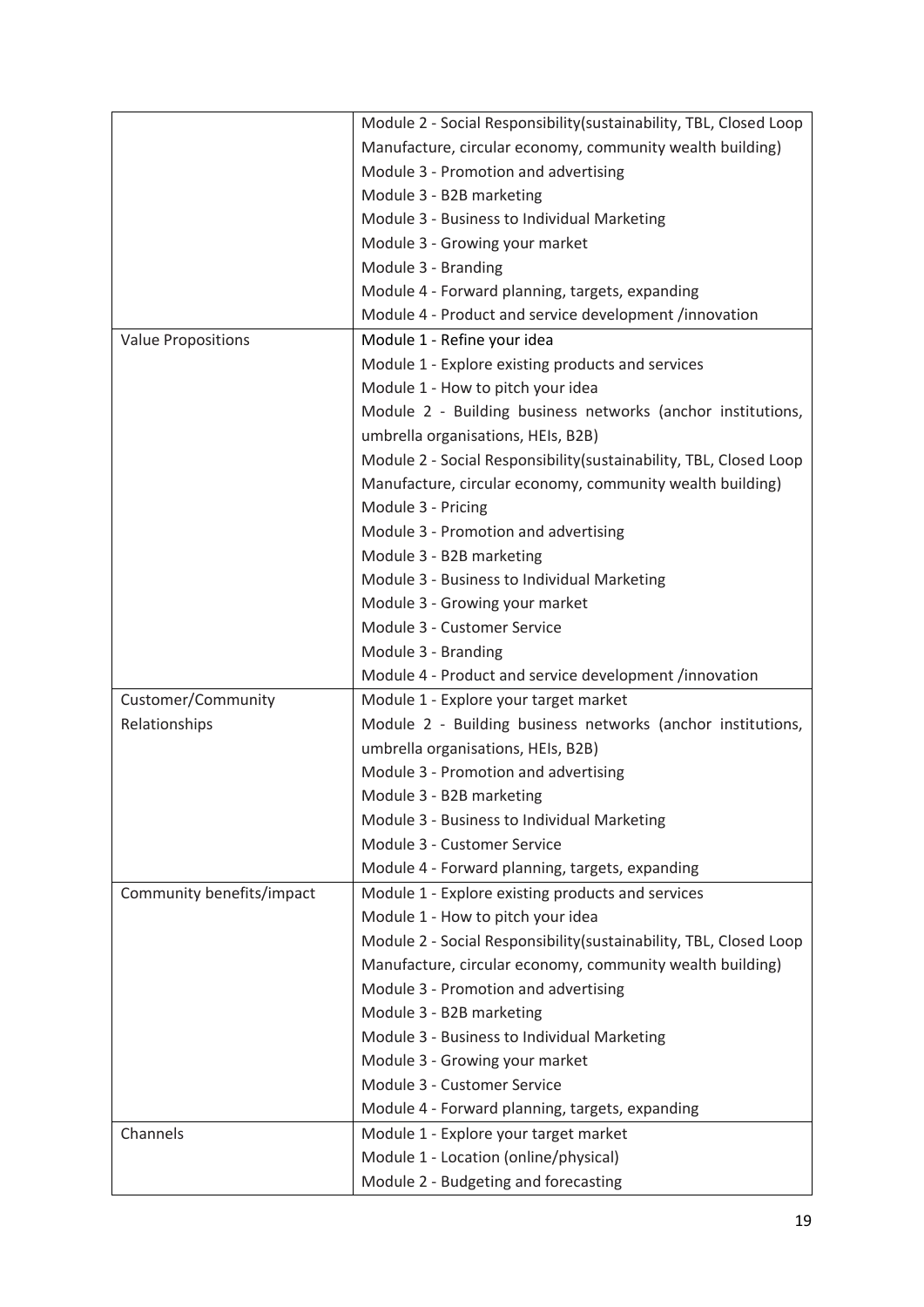|                           | Module 2 - Social Responsibility (sustainability, TBL, Closed Loop |
|---------------------------|--------------------------------------------------------------------|
|                           | Manufacture, circular economy, community wealth building)          |
|                           | Module 3 - Promotion and advertising                               |
|                           | Module 3 - B2B marketing                                           |
|                           | Module 3 - Business to Individual Marketing                        |
|                           | Module 3 - Growing your market                                     |
|                           | Module 3 - Branding                                                |
|                           | Module 4 - Forward planning, targets, expanding                    |
|                           | Module 4 - Product and service development /innovation             |
| <b>Value Propositions</b> | Module 1 - Refine your idea                                        |
|                           | Module 1 - Explore existing products and services                  |
|                           | Module 1 - How to pitch your idea                                  |
|                           | Module 2 - Building business networks (anchor institutions,        |
|                           | umbrella organisations, HEIs, B2B)                                 |
|                           | Module 2 - Social Responsibility (sustainability, TBL, Closed Loop |
|                           | Manufacture, circular economy, community wealth building)          |
|                           | Module 3 - Pricing                                                 |
|                           | Module 3 - Promotion and advertising                               |
|                           | Module 3 - B2B marketing                                           |
|                           | Module 3 - Business to Individual Marketing                        |
|                           | Module 3 - Growing your market                                     |
|                           | Module 3 - Customer Service                                        |
|                           | Module 3 - Branding                                                |
|                           | Module 4 - Product and service development /innovation             |
| Customer/Community        | Module 1 - Explore your target market                              |
| Relationships             | Module 2 - Building business networks (anchor institutions,        |
|                           | umbrella organisations, HEIs, B2B)                                 |
|                           | Module 3 - Promotion and advertising                               |
|                           | Module 3 - B2B marketing                                           |
|                           | Module 3 - Business to Individual Marketing                        |
|                           | Module 3 - Customer Service                                        |
|                           | Module 4 - Forward planning, targets, expanding                    |
| Community benefits/impact | Module 1 - Explore existing products and services                  |
|                           | Module 1 - How to pitch your idea                                  |
|                           | Module 2 - Social Responsibility (sustainability, TBL, Closed Loop |
|                           | Manufacture, circular economy, community wealth building)          |
|                           | Module 3 - Promotion and advertising                               |
|                           | Module 3 - B2B marketing                                           |
|                           | Module 3 - Business to Individual Marketing                        |
|                           | Module 3 - Growing your market                                     |
|                           | Module 3 - Customer Service                                        |
|                           | Module 4 - Forward planning, targets, expanding                    |
| Channels                  | Module 1 - Explore your target market                              |
|                           | Module 1 - Location (online/physical)                              |
|                           | Module 2 - Budgeting and forecasting                               |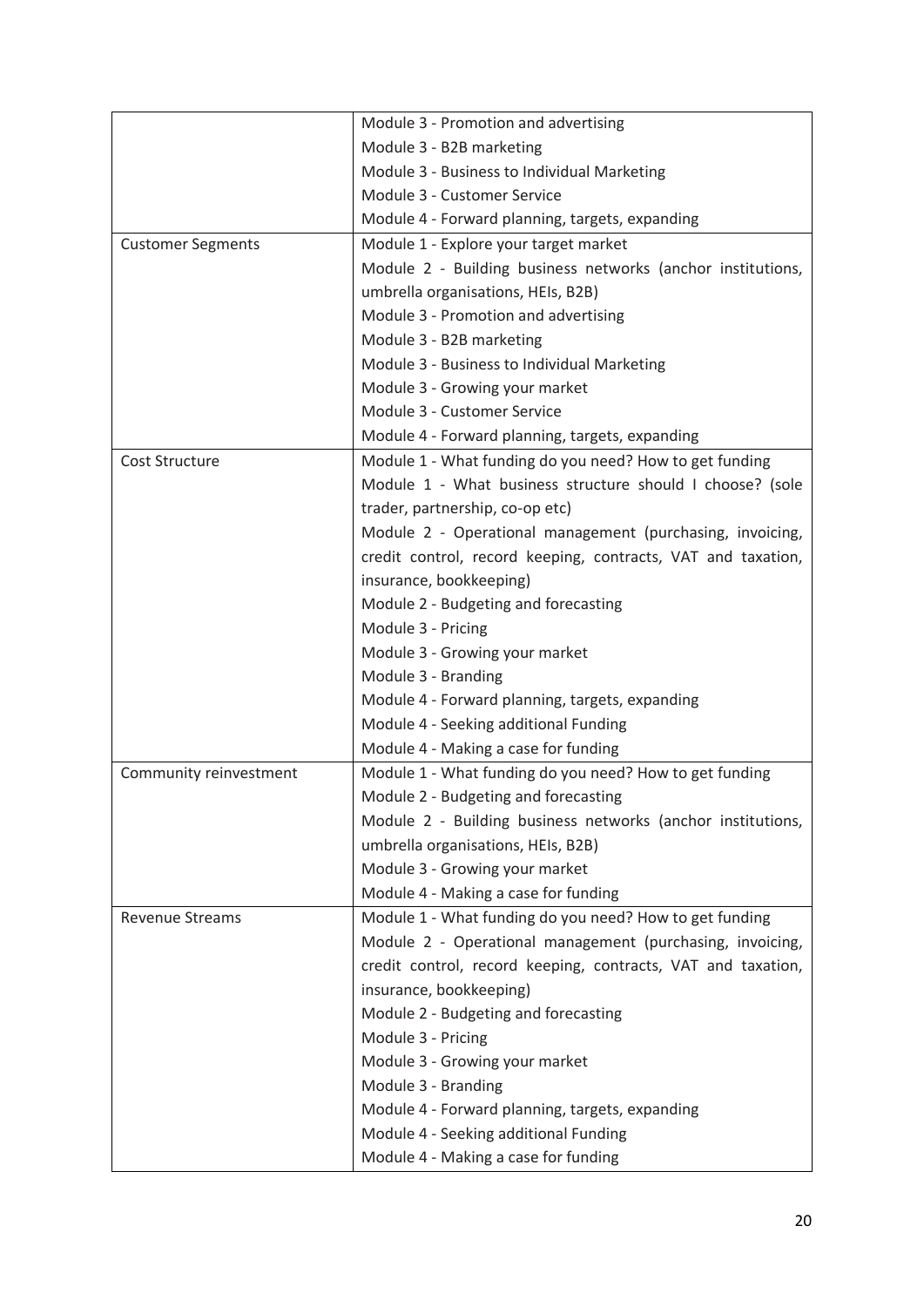|                          | Module 3 - Promotion and advertising                         |
|--------------------------|--------------------------------------------------------------|
|                          | Module 3 - B2B marketing                                     |
|                          | Module 3 - Business to Individual Marketing                  |
|                          | Module 3 - Customer Service                                  |
|                          | Module 4 - Forward planning, targets, expanding              |
| <b>Customer Segments</b> | Module 1 - Explore your target market                        |
|                          | Module 2 - Building business networks (anchor institutions,  |
|                          | umbrella organisations, HEIs, B2B)                           |
|                          | Module 3 - Promotion and advertising                         |
|                          | Module 3 - B2B marketing                                     |
|                          | Module 3 - Business to Individual Marketing                  |
|                          | Module 3 - Growing your market                               |
|                          | Module 3 - Customer Service                                  |
|                          | Module 4 - Forward planning, targets, expanding              |
| Cost Structure           | Module 1 - What funding do you need? How to get funding      |
|                          | Module 1 - What business structure should I choose? (sole    |
|                          | trader, partnership, co-op etc)                              |
|                          | Module 2 - Operational management (purchasing, invoicing,    |
|                          | credit control, record keeping, contracts, VAT and taxation, |
|                          | insurance, bookkeeping)                                      |
|                          | Module 2 - Budgeting and forecasting                         |
|                          | Module 3 - Pricing                                           |
|                          | Module 3 - Growing your market                               |
|                          | Module 3 - Branding                                          |
|                          | Module 4 - Forward planning, targets, expanding              |
|                          | Module 4 - Seeking additional Funding                        |
|                          | Module 4 - Making a case for funding                         |
| Community reinvestment   | Module 1 - What funding do you need? How to get funding      |
|                          | Module 2 - Budgeting and forecasting                         |
|                          | Module 2 - Building business networks (anchor institutions,  |
|                          | umbrella organisations, HEIs, B2B)                           |
|                          | Module 3 - Growing your market                               |
|                          | Module 4 - Making a case for funding                         |
| <b>Revenue Streams</b>   | Module 1 - What funding do you need? How to get funding      |
|                          | Module 2 - Operational management (purchasing, invoicing,    |
|                          | credit control, record keeping, contracts, VAT and taxation, |
|                          | insurance, bookkeeping)                                      |
|                          | Module 2 - Budgeting and forecasting                         |
|                          | Module 3 - Pricing                                           |
|                          | Module 3 - Growing your market                               |
|                          | Module 3 - Branding                                          |
|                          | Module 4 - Forward planning, targets, expanding              |
|                          | Module 4 - Seeking additional Funding                        |
|                          | Module 4 - Making a case for funding                         |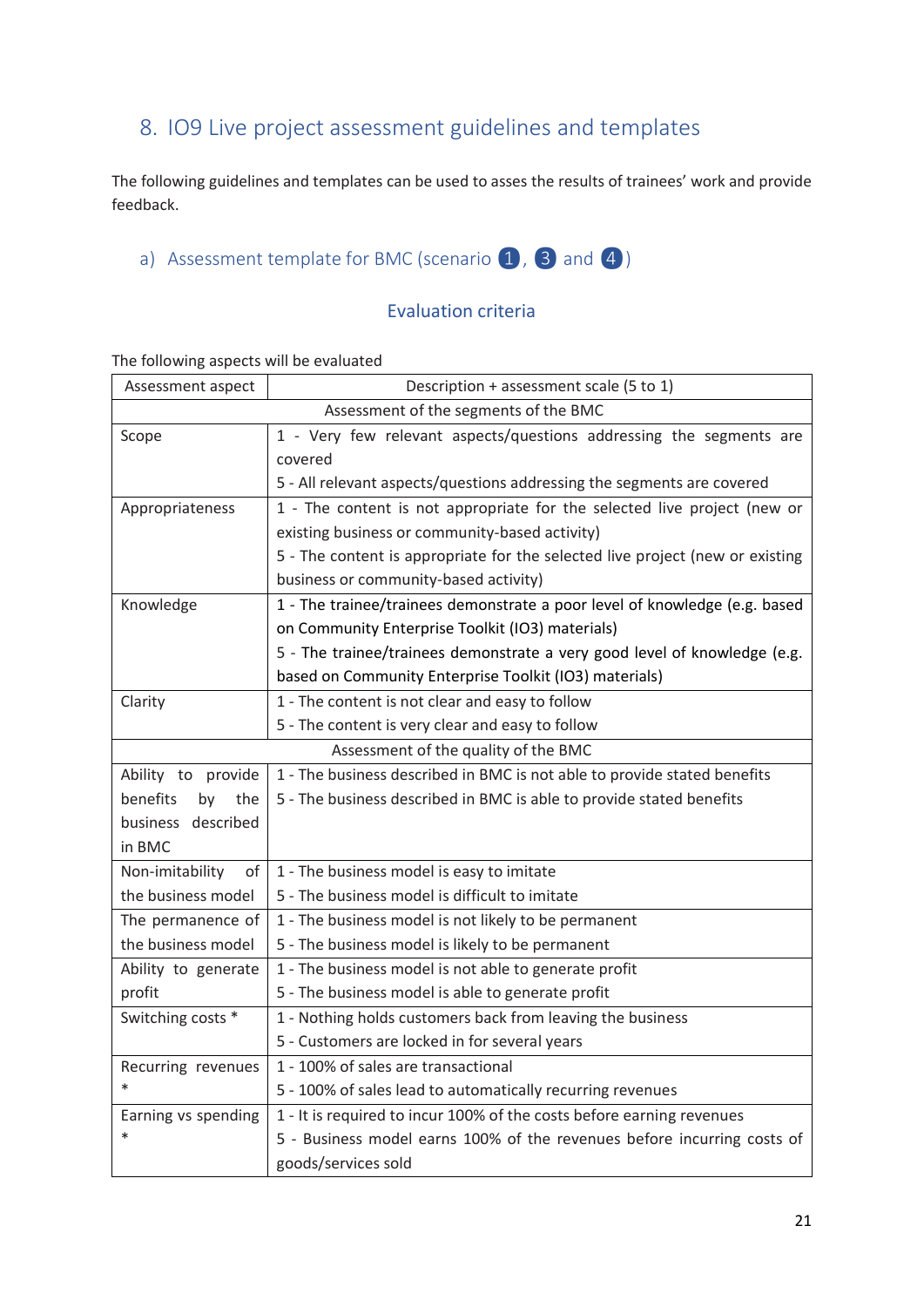# <span id="page-20-0"></span>8. IO9 Live project assessment guidelines and templates

The following guidelines and templates can be used to asses the results of trainees' work and provide feedback.

<span id="page-20-1"></span>a) Assessment template for BMC (scenario  $\left(1, 3\right)$  and  $\left(4\right)$ )

#### Evaluation criteria

The following aspects will be evaluated

| Assessment aspect                                                                                                    | Description + assessment scale (5 to 1)                                                                                                                                                                                                                                                                                                                                                                                                                                                                                                                                                                               |
|----------------------------------------------------------------------------------------------------------------------|-----------------------------------------------------------------------------------------------------------------------------------------------------------------------------------------------------------------------------------------------------------------------------------------------------------------------------------------------------------------------------------------------------------------------------------------------------------------------------------------------------------------------------------------------------------------------------------------------------------------------|
|                                                                                                                      | Assessment of the segments of the BMC                                                                                                                                                                                                                                                                                                                                                                                                                                                                                                                                                                                 |
| Scope                                                                                                                | 1 - Very few relevant aspects/questions addressing the segments are                                                                                                                                                                                                                                                                                                                                                                                                                                                                                                                                                   |
|                                                                                                                      | covered                                                                                                                                                                                                                                                                                                                                                                                                                                                                                                                                                                                                               |
|                                                                                                                      | 5 - All relevant aspects/questions addressing the segments are covered                                                                                                                                                                                                                                                                                                                                                                                                                                                                                                                                                |
| Appropriateness                                                                                                      | 1 - The content is not appropriate for the selected live project (new or                                                                                                                                                                                                                                                                                                                                                                                                                                                                                                                                              |
|                                                                                                                      | existing business or community-based activity)                                                                                                                                                                                                                                                                                                                                                                                                                                                                                                                                                                        |
|                                                                                                                      | 5 - The content is appropriate for the selected live project (new or existing                                                                                                                                                                                                                                                                                                                                                                                                                                                                                                                                         |
|                                                                                                                      | business or community-based activity)                                                                                                                                                                                                                                                                                                                                                                                                                                                                                                                                                                                 |
| Knowledge                                                                                                            | 1 - The trainee/trainees demonstrate a poor level of knowledge (e.g. based                                                                                                                                                                                                                                                                                                                                                                                                                                                                                                                                            |
|                                                                                                                      | on Community Enterprise Toolkit (IO3) materials)                                                                                                                                                                                                                                                                                                                                                                                                                                                                                                                                                                      |
|                                                                                                                      | 5 - The trainee/trainees demonstrate a very good level of knowledge (e.g.                                                                                                                                                                                                                                                                                                                                                                                                                                                                                                                                             |
|                                                                                                                      | based on Community Enterprise Toolkit (IO3) materials)                                                                                                                                                                                                                                                                                                                                                                                                                                                                                                                                                                |
| Clarity                                                                                                              | 1 - The content is not clear and easy to follow                                                                                                                                                                                                                                                                                                                                                                                                                                                                                                                                                                       |
|                                                                                                                      | 5 - The content is very clear and easy to follow                                                                                                                                                                                                                                                                                                                                                                                                                                                                                                                                                                      |
|                                                                                                                      | Assessment of the quality of the BMC                                                                                                                                                                                                                                                                                                                                                                                                                                                                                                                                                                                  |
| Ability to provide                                                                                                   | 1 - The business described in BMC is not able to provide stated benefits                                                                                                                                                                                                                                                                                                                                                                                                                                                                                                                                              |
| benefits<br>by<br>the                                                                                                | 5 - The business described in BMC is able to provide stated benefits                                                                                                                                                                                                                                                                                                                                                                                                                                                                                                                                                  |
| business described                                                                                                   |                                                                                                                                                                                                                                                                                                                                                                                                                                                                                                                                                                                                                       |
| in BMC                                                                                                               |                                                                                                                                                                                                                                                                                                                                                                                                                                                                                                                                                                                                                       |
| Non-imitability<br>of                                                                                                | 1 - The business model is easy to imitate                                                                                                                                                                                                                                                                                                                                                                                                                                                                                                                                                                             |
| the business model                                                                                                   | 5 - The business model is difficult to imitate                                                                                                                                                                                                                                                                                                                                                                                                                                                                                                                                                                        |
|                                                                                                                      |                                                                                                                                                                                                                                                                                                                                                                                                                                                                                                                                                                                                                       |
| the business model                                                                                                   |                                                                                                                                                                                                                                                                                                                                                                                                                                                                                                                                                                                                                       |
|                                                                                                                      |                                                                                                                                                                                                                                                                                                                                                                                                                                                                                                                                                                                                                       |
|                                                                                                                      |                                                                                                                                                                                                                                                                                                                                                                                                                                                                                                                                                                                                                       |
|                                                                                                                      |                                                                                                                                                                                                                                                                                                                                                                                                                                                                                                                                                                                                                       |
|                                                                                                                      |                                                                                                                                                                                                                                                                                                                                                                                                                                                                                                                                                                                                                       |
|                                                                                                                      |                                                                                                                                                                                                                                                                                                                                                                                                                                                                                                                                                                                                                       |
|                                                                                                                      |                                                                                                                                                                                                                                                                                                                                                                                                                                                                                                                                                                                                                       |
|                                                                                                                      |                                                                                                                                                                                                                                                                                                                                                                                                                                                                                                                                                                                                                       |
| $\ast$                                                                                                               |                                                                                                                                                                                                                                                                                                                                                                                                                                                                                                                                                                                                                       |
|                                                                                                                      |                                                                                                                                                                                                                                                                                                                                                                                                                                                                                                                                                                                                                       |
| The permanence of<br>Ability to generate<br>profit<br>Switching costs *<br>Recurring revenues<br>Earning vs spending | 1 - The business model is not likely to be permanent<br>5 - The business model is likely to be permanent<br>1 - The business model is not able to generate profit<br>5 - The business model is able to generate profit<br>1 - Nothing holds customers back from leaving the business<br>5 - Customers are locked in for several years<br>1 - 100% of sales are transactional<br>5 - 100% of sales lead to automatically recurring revenues<br>1 - It is required to incur 100% of the costs before earning revenues<br>5 - Business model earns 100% of the revenues before incurring costs of<br>goods/services sold |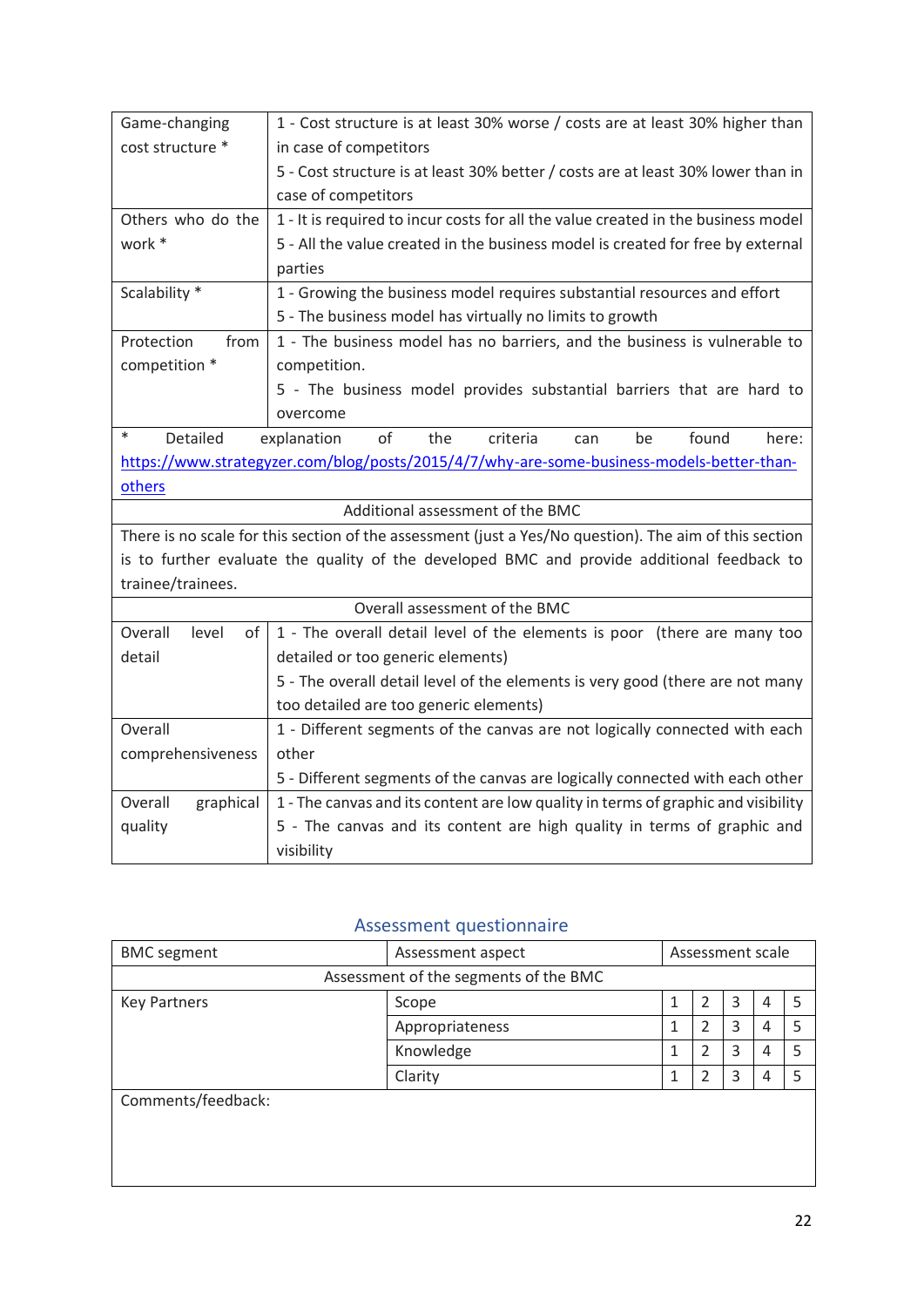| Game-changing                                                                                          | 1 - Cost structure is at least 30% worse / costs are at least 30% higher than              |  |  |  |  |
|--------------------------------------------------------------------------------------------------------|--------------------------------------------------------------------------------------------|--|--|--|--|
| cost structure *                                                                                       | in case of competitors                                                                     |  |  |  |  |
|                                                                                                        | 5 - Cost structure is at least 30% better / costs are at least 30% lower than in           |  |  |  |  |
|                                                                                                        | case of competitors                                                                        |  |  |  |  |
| Others who do the                                                                                      | 1 - It is required to incur costs for all the value created in the business model          |  |  |  |  |
| work *                                                                                                 | 5 - All the value created in the business model is created for free by external            |  |  |  |  |
|                                                                                                        | parties                                                                                    |  |  |  |  |
| Scalability *                                                                                          | 1 - Growing the business model requires substantial resources and effort                   |  |  |  |  |
|                                                                                                        | 5 - The business model has virtually no limits to growth                                   |  |  |  |  |
| Protection<br>from                                                                                     | 1 - The business model has no barriers, and the business is vulnerable to                  |  |  |  |  |
| competition *                                                                                          | competition.                                                                               |  |  |  |  |
|                                                                                                        | 5 - The business model provides substantial barriers that are hard to                      |  |  |  |  |
|                                                                                                        | overcome                                                                                   |  |  |  |  |
| $\ast$<br>Detailed                                                                                     | of<br>criteria<br>found<br>explanation<br>the<br>be<br>here:<br>can                        |  |  |  |  |
| https://www.strategyzer.com/blog/posts/2015/4/7/why-are-some-business-models-better-than-              |                                                                                            |  |  |  |  |
| others                                                                                                 |                                                                                            |  |  |  |  |
| Additional assessment of the BMC                                                                       |                                                                                            |  |  |  |  |
| There is no scale for this section of the assessment (just a Yes/No question). The aim of this section |                                                                                            |  |  |  |  |
|                                                                                                        | is to further evaluate the quality of the developed BMC and provide additional feedback to |  |  |  |  |
| trainee/trainees.                                                                                      |                                                                                            |  |  |  |  |
|                                                                                                        | Overall assessment of the BMC                                                              |  |  |  |  |
| Overall<br>level<br>of <sub>1</sub>                                                                    | 1 - The overall detail level of the elements is poor (there are many too                   |  |  |  |  |
| detail                                                                                                 | detailed or too generic elements)                                                          |  |  |  |  |
|                                                                                                        | 5 - The overall detail level of the elements is very good (there are not many              |  |  |  |  |
|                                                                                                        | too detailed are too generic elements)                                                     |  |  |  |  |
| Overall                                                                                                | 1 - Different segments of the canvas are not logically connected with each                 |  |  |  |  |
| comprehensiveness                                                                                      | other                                                                                      |  |  |  |  |
|                                                                                                        | 5 - Different segments of the canvas are logically connected with each other               |  |  |  |  |
| Overall<br>graphical                                                                                   | 1 - The canvas and its content are low quality in terms of graphic and visibility          |  |  |  |  |
| quality                                                                                                | 5 - The canvas and its content are high quality in terms of graphic and                    |  |  |  |  |
|                                                                                                        | visibility                                                                                 |  |  |  |  |

### Assessment questionnaire

| <b>BMC</b> segment  | Assessment aspect                     |   | Assessment scale |   |   |  |
|---------------------|---------------------------------------|---|------------------|---|---|--|
|                     | Assessment of the segments of the BMC |   |                  |   |   |  |
| <b>Key Partners</b> | Scope                                 | 1 | 2                | 3 | 4 |  |
|                     | Appropriateness                       |   |                  | 3 | 4 |  |
|                     | Knowledge                             |   | 2                | 3 | 4 |  |
|                     | Clarity                               | 1 | 2                | 3 | 4 |  |
| Comments/feedback:  |                                       |   |                  |   |   |  |
|                     |                                       |   |                  |   |   |  |
|                     |                                       |   |                  |   |   |  |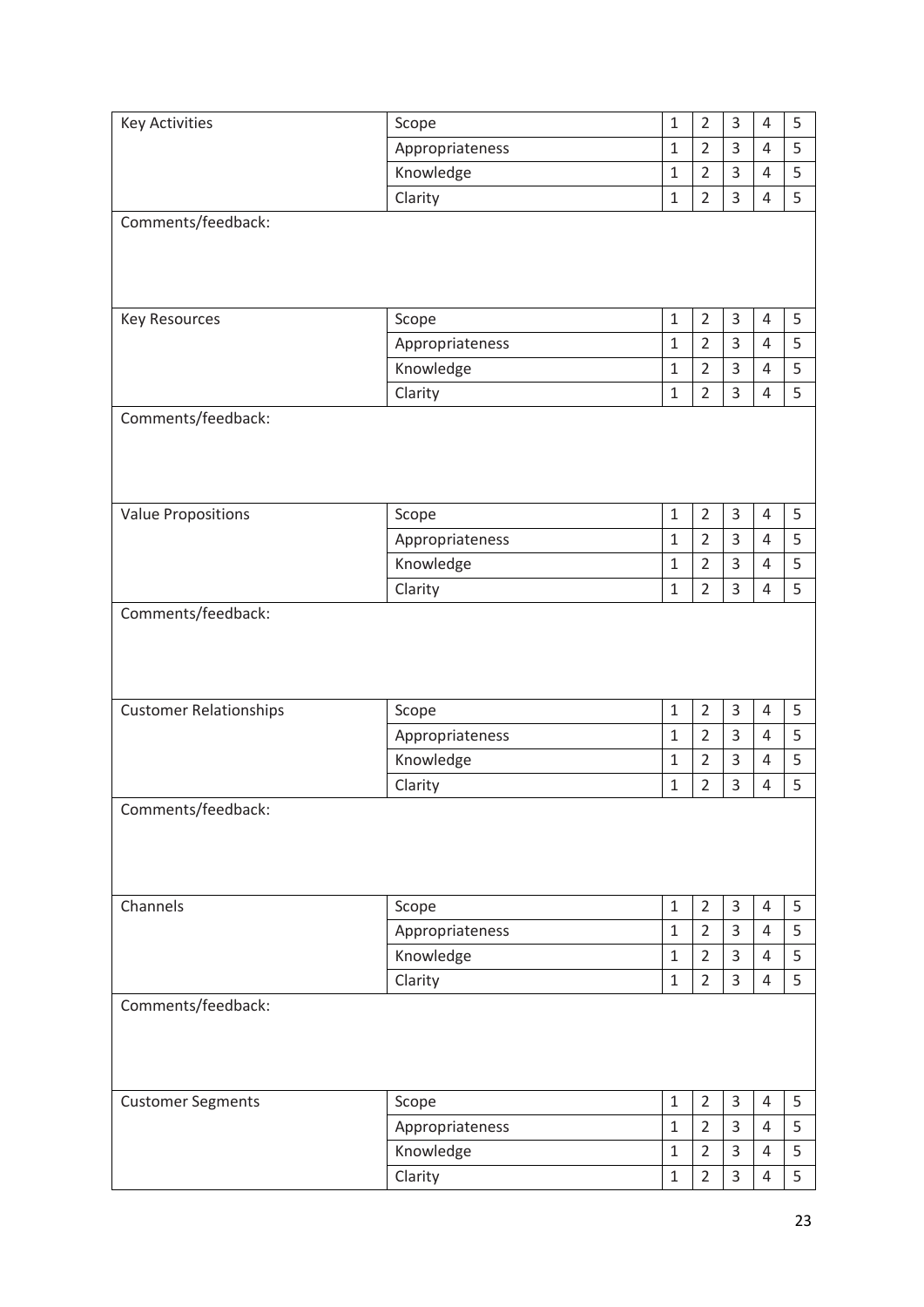| <b>Key Activities</b>         | Scope           | $\mathbf{1}$          | $\overline{2}$ | 3      | 4              | 5      |
|-------------------------------|-----------------|-----------------------|----------------|--------|----------------|--------|
|                               | Appropriateness | $1\,$                 | $\overline{2}$ | 3      | $\overline{4}$ | 5      |
|                               | Knowledge       | $\mathbf{1}$          | $\overline{2}$ | 3      | $\overline{4}$ | 5      |
|                               | Clarity         | $\mathbf 1$           | $\overline{2}$ | 3      | 4              | 5      |
| Comments/feedback:            |                 |                       |                |        |                |        |
|                               |                 |                       |                |        |                |        |
|                               |                 |                       |                |        |                |        |
|                               |                 |                       |                |        |                |        |
| <b>Key Resources</b>          | Scope           | $\mathbf{1}$          | $\overline{2}$ | 3      | 4              | 5      |
|                               | Appropriateness | $\mathbf 1$           | $\overline{2}$ | 3      | $\overline{4}$ | 5      |
|                               | Knowledge       | $\mathbf{1}$          | $\overline{2}$ | 3      | $\overline{4}$ | 5      |
|                               | Clarity         | $1\,$                 | $\overline{2}$ | 3      | 4              | 5      |
| Comments/feedback:            |                 |                       |                |        |                |        |
|                               |                 |                       |                |        |                |        |
|                               |                 |                       |                |        |                |        |
|                               |                 |                       |                |        |                |        |
| <b>Value Propositions</b>     | Scope           | $\mathbf{1}$          | $\overline{2}$ | 3      | 4              | 5      |
|                               | Appropriateness | $1\,$                 | $\overline{2}$ | 3      | 4              | 5      |
|                               | Knowledge       | $\mathbf{1}$          | $\overline{2}$ | 3      | 4              | 5      |
|                               | Clarity         | $\mathbf{1}$          | $\overline{2}$ | 3      | 4              | 5      |
| Comments/feedback:            |                 |                       |                |        |                |        |
|                               |                 |                       |                |        |                |        |
|                               |                 |                       |                |        |                |        |
|                               |                 |                       |                |        |                |        |
| <b>Customer Relationships</b> | Scope           | $\mathbf{1}$          | $\overline{2}$ | 3      | 4              | 5      |
|                               | Appropriateness | $\mathbf 1$           | $\overline{2}$ | 3      | $\overline{4}$ | 5      |
|                               | Knowledge       | $\mathbf{1}$          | $\overline{2}$ | 3      | $\overline{4}$ | 5      |
|                               | Clarity         | $\mathbf 1$           | $\overline{2}$ | 3      | 4              | 5      |
| Comments/feedback:            |                 |                       |                |        |                |        |
|                               |                 |                       |                |        |                |        |
|                               |                 |                       |                |        |                |        |
|                               |                 |                       |                |        |                |        |
| Channels                      |                 |                       | $\overline{2}$ |        | $\overline{4}$ |        |
|                               | Scope           | $\mathbf{1}$<br>$1\,$ | $\overline{2}$ | 3<br>3 | $\overline{4}$ | 5<br>5 |
|                               | Appropriateness | $\mathbf{1}$          | $\overline{2}$ | 3      | $\overline{4}$ |        |
|                               | Knowledge       |                       |                | 3      | 4              | 5<br>5 |
|                               | Clarity         | $\mathbf{1}$          | $\overline{2}$ |        |                |        |
| Comments/feedback:            |                 |                       |                |        |                |        |
|                               |                 |                       |                |        |                |        |
|                               |                 |                       |                |        |                |        |
|                               |                 |                       |                |        |                |        |
| <b>Customer Segments</b>      | Scope           | $\mathbf{1}$          | $\overline{2}$ | 3      | $\overline{4}$ | 5      |
|                               | Appropriateness | $\mathbf{1}$          | $\overline{2}$ | 3      | 4              | 5      |
|                               | Knowledge       | $\mathbf{1}$          | $\overline{2}$ | 3      | 4              | 5      |
|                               | Clarity         | $\mathbf 1$           | $\overline{2}$ | 3      | 4              | 5      |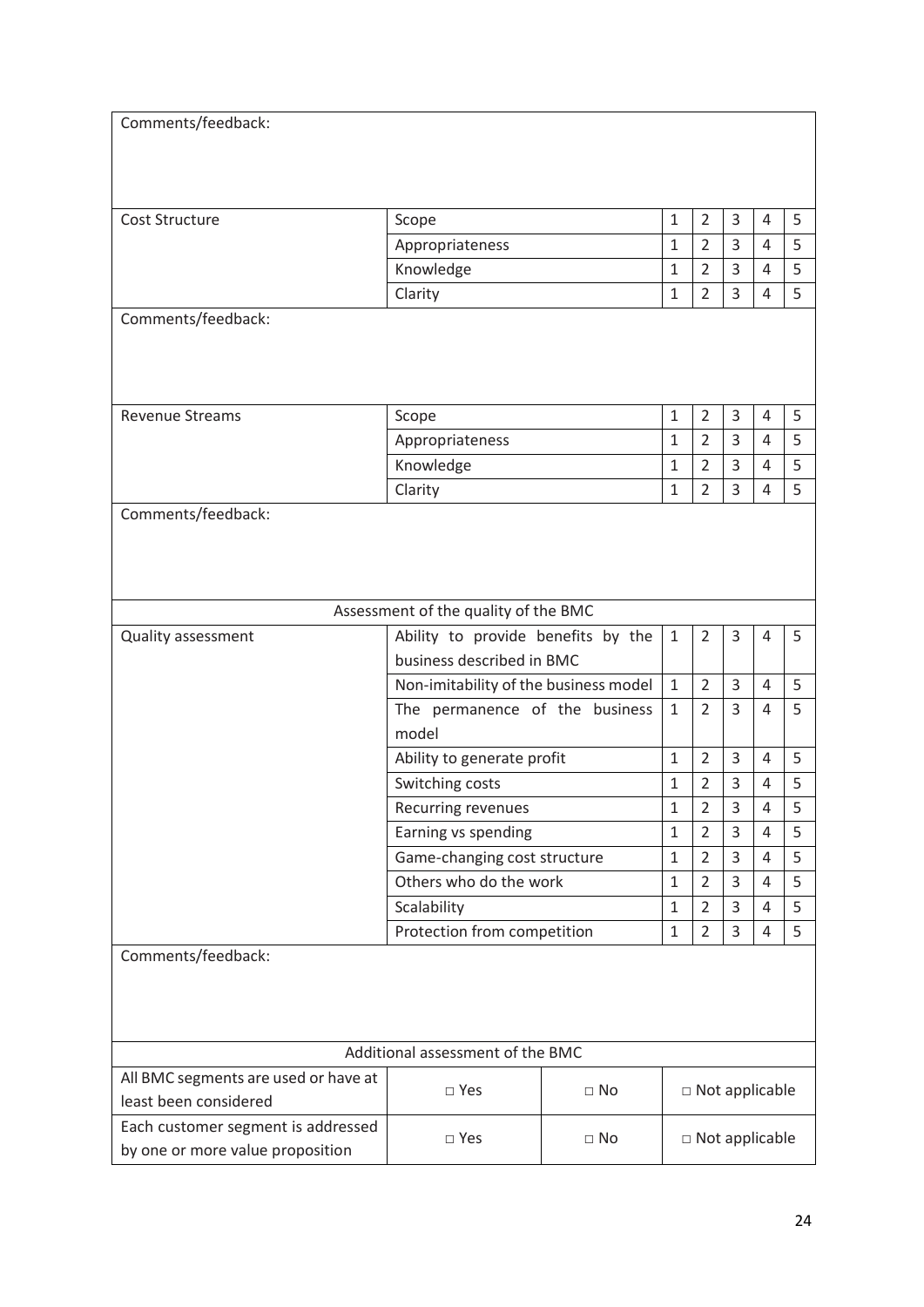| Comments/feedback:                   |                                                                 |                                       |                              |                       |                |                |   |
|--------------------------------------|-----------------------------------------------------------------|---------------------------------------|------------------------------|-----------------------|----------------|----------------|---|
|                                      |                                                                 |                                       |                              |                       |                |                |   |
|                                      |                                                                 |                                       |                              |                       |                |                |   |
|                                      |                                                                 |                                       |                              |                       |                |                |   |
| Cost Structure                       | Scope                                                           |                                       | $\mathbf{1}$                 | $\overline{2}$        | 3              | 4              | 5 |
|                                      | Appropriateness                                                 |                                       | $\mathbf{1}$                 | $\overline{2}$        | 3              | 4              | 5 |
|                                      | Knowledge                                                       |                                       | 1                            | 2                     | 3              | 4              | 5 |
|                                      | Clarity                                                         |                                       | $\mathbf{1}$                 | $\overline{2}$        | 3              | 4              | 5 |
| Comments/feedback:                   |                                                                 |                                       |                              |                       |                |                |   |
|                                      |                                                                 |                                       |                              |                       |                |                |   |
|                                      |                                                                 |                                       |                              |                       |                |                |   |
|                                      |                                                                 |                                       |                              |                       |                |                |   |
| <b>Revenue Streams</b>               | Scope                                                           |                                       | $\mathbf{1}$                 | $\overline{2}$        | 3              | 4              | 5 |
|                                      | Appropriateness                                                 |                                       | $\mathbf{1}$                 | $\overline{2}$        | 3              | 4              | 5 |
|                                      | Knowledge                                                       |                                       | 1                            | 2                     | 3              | 4              | 5 |
|                                      | Clarity                                                         |                                       | $\mathbf{1}$                 | $\overline{2}$        | 3              | 4              | 5 |
| Comments/feedback:                   |                                                                 |                                       |                              |                       |                |                |   |
|                                      |                                                                 |                                       |                              |                       |                |                |   |
|                                      |                                                                 |                                       |                              |                       |                |                |   |
|                                      |                                                                 |                                       |                              |                       |                |                |   |
|                                      | Assessment of the quality of the BMC                            |                                       |                              |                       |                |                |   |
| <b>Quality assessment</b>            |                                                                 |                                       | $\mathbf{1}$                 | $\overline{2}$        | 3              | 4              | 5 |
|                                      | Ability to provide benefits by the<br>business described in BMC |                                       |                              |                       |                |                |   |
|                                      |                                                                 | Non-imitability of the business model |                              | $\overline{2}$        | $\overline{3}$ | 4              | 5 |
|                                      | The permanence of the business                                  |                                       | $\mathbf{1}$<br>$\mathbf{1}$ | $\overline{2}$        | 3              | 4              | 5 |
|                                      | model                                                           |                                       |                              |                       |                |                |   |
|                                      |                                                                 |                                       |                              | $\overline{2}$        | 3              | 4              |   |
|                                      | Ability to generate profit                                      |                                       | 1                            |                       |                |                | 5 |
|                                      | Switching costs                                                 |                                       | $\mathbf{1}$                 | $\overline{2}$        | 3              | 4              | 5 |
|                                      | Recurring revenues                                              |                                       | 1                            | 2                     | 3              | 4              | 5 |
|                                      | Earning vs spending                                             |                                       | $\mathbf{1}$                 | $\overline{2}$        | 3              | $\overline{4}$ | 5 |
|                                      | Game-changing cost structure                                    |                                       | 1                            | $\overline{2}$        | 3              | 4              | 5 |
|                                      | Others who do the work                                          |                                       | 1                            | $\overline{2}$        | 3              | 4              | 5 |
|                                      | Scalability                                                     |                                       | 1                            | 2                     | 3              | 4              | 5 |
|                                      | Protection from competition                                     |                                       | 1                            | $\overline{2}$        | 3              | 4              | 5 |
| Comments/feedback:                   |                                                                 |                                       |                              |                       |                |                |   |
|                                      |                                                                 |                                       |                              |                       |                |                |   |
|                                      |                                                                 |                                       |                              |                       |                |                |   |
|                                      |                                                                 |                                       |                              |                       |                |                |   |
|                                      | Additional assessment of the BMC                                |                                       |                              |                       |                |                |   |
| All BMC segments are used or have at | $\square$ Yes                                                   | $\Box$ No                             |                              |                       |                |                |   |
| least been considered                | $\Box$ Not applicable                                           |                                       |                              |                       |                |                |   |
| Each customer segment is addressed   | $\square$ Yes                                                   | $\Box$ No                             |                              | $\Box$ Not applicable |                |                |   |
| by one or more value proposition     |                                                                 |                                       |                              |                       |                |                |   |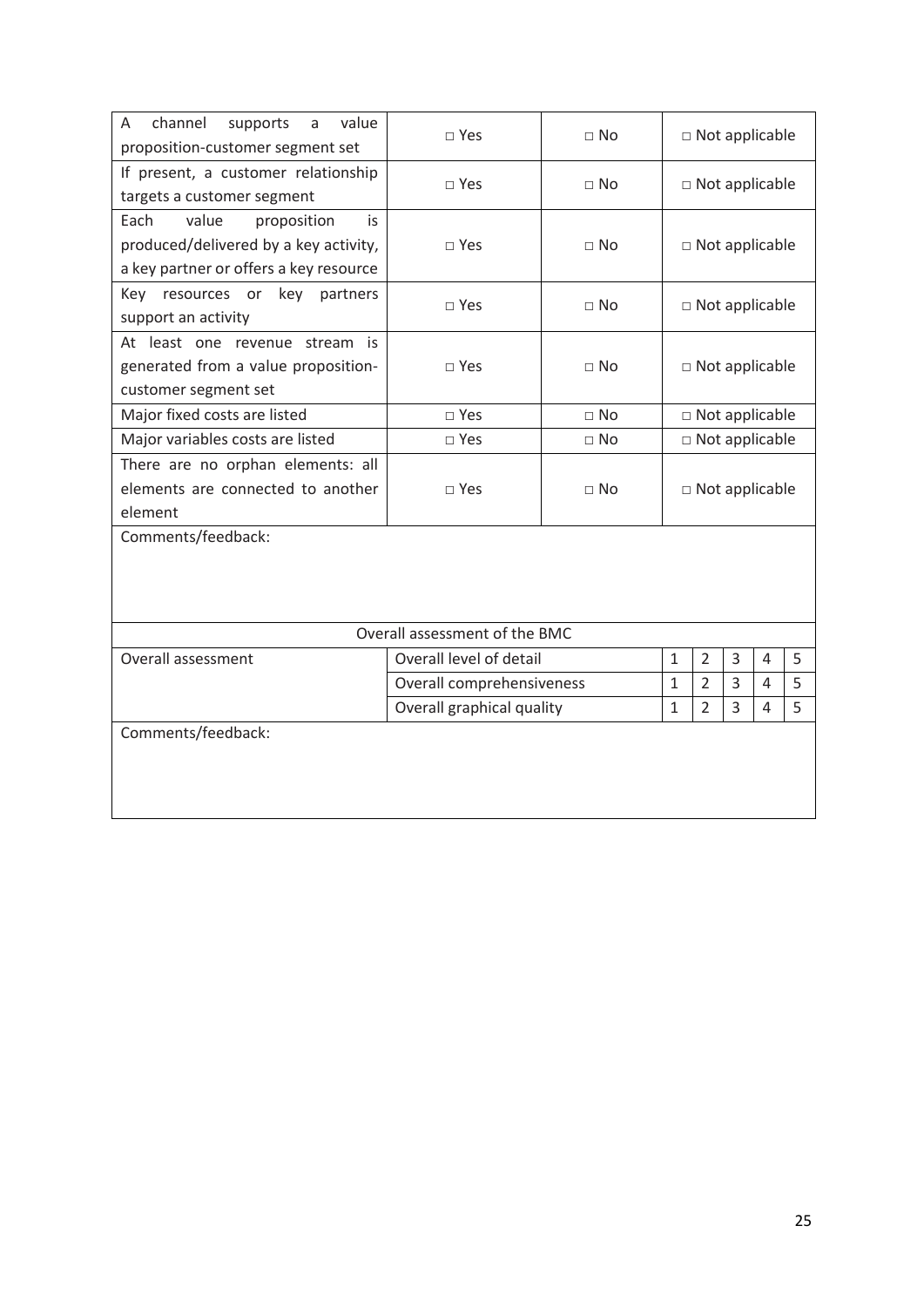| channel<br>value<br>A<br>supports<br>a<br>proposition-customer segment set                                            | $\square$ Yes                                                    | $\Box$ No   | $\Box$ Not applicable |                |   |   |   |
|-----------------------------------------------------------------------------------------------------------------------|------------------------------------------------------------------|-------------|-----------------------|----------------|---|---|---|
| If present, a customer relationship<br>targets a customer segment                                                     | $\sqcap$ Yes                                                     | $\sqcap$ No | $\Box$ Not applicable |                |   |   |   |
| value<br>Each<br>proposition<br>is<br>produced/delivered by a key activity,<br>a key partner or offers a key resource | $\square$ Yes                                                    | $\sqcap$ No | $\Box$ Not applicable |                |   |   |   |
| Key resources or<br>key<br>partners<br>support an activity                                                            | $\square$ Yes                                                    | $\Box$ No   | $\Box$ Not applicable |                |   |   |   |
| At least one revenue stream is<br>generated from a value proposition-<br>customer segment set                         | $\Box$ Yes                                                       | $\Box$ No   | □ Not applicable      |                |   |   |   |
| Major fixed costs are listed                                                                                          | $\square$ Yes                                                    | $\Box$ No   | $\Box$ Not applicable |                |   |   |   |
| Major variables costs are listed                                                                                      | $\square$ Yes                                                    | $\Box$ No   | $\Box$ Not applicable |                |   |   |   |
| There are no orphan elements: all<br>elements are connected to another<br>element                                     | $\square$ Yes                                                    | $\sqcap$ No | □ Not applicable      |                |   |   |   |
| Comments/feedback:                                                                                                    |                                                                  |             |                       |                |   |   |   |
|                                                                                                                       | Overall assessment of the BMC                                    |             |                       |                |   |   |   |
| Overall assessment                                                                                                    | Overall level of detail                                          |             | $\mathbf{1}$          | $\overline{2}$ | 3 | 4 | 5 |
|                                                                                                                       | $\overline{2}$<br>Overall comprehensiveness<br>$\mathbf{1}$      |             | 3                     | 4              | 5 |   |   |
|                                                                                                                       | $\overline{2}$<br>Overall graphical quality<br>$\mathbf{1}$<br>3 |             | 4                     | 5              |   |   |   |
| Comments/feedback:                                                                                                    |                                                                  |             |                       |                |   |   |   |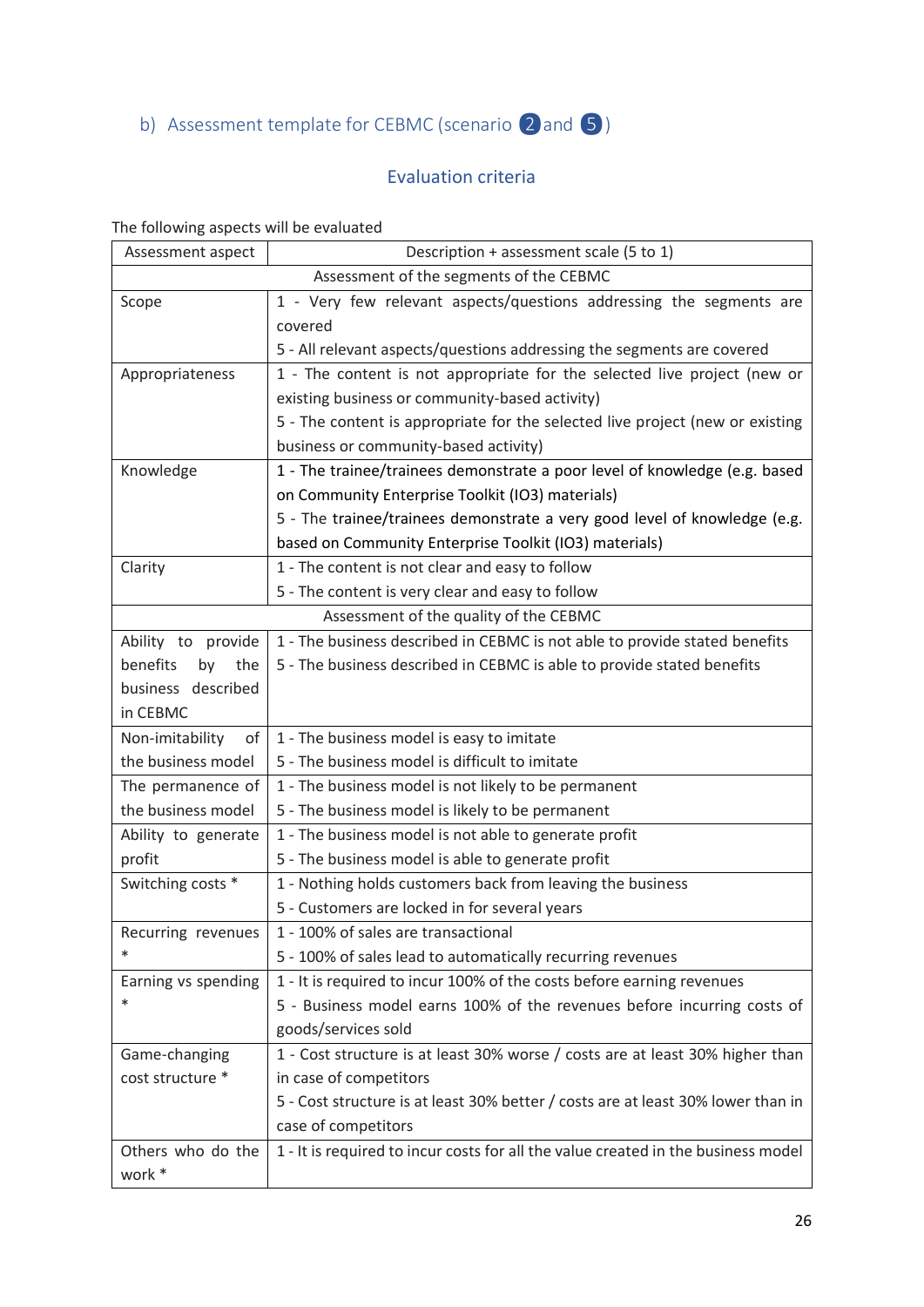<span id="page-25-0"></span>b) Assessment template for CEBMC (scenario 2 and 5)

### Evaluation criteria

### The following aspects will be evaluated

| Assessment aspect     | Description + assessment scale (5 to 1)                                           |
|-----------------------|-----------------------------------------------------------------------------------|
|                       | Assessment of the segments of the CEBMC                                           |
| Scope                 | 1 - Very few relevant aspects/questions addressing the segments are               |
|                       | covered                                                                           |
|                       | 5 - All relevant aspects/questions addressing the segments are covered            |
| Appropriateness       | 1 - The content is not appropriate for the selected live project (new or          |
|                       | existing business or community-based activity)                                    |
|                       | 5 - The content is appropriate for the selected live project (new or existing     |
|                       | business or community-based activity)                                             |
| Knowledge             | 1 - The trainee/trainees demonstrate a poor level of knowledge (e.g. based        |
|                       | on Community Enterprise Toolkit (IO3) materials)                                  |
|                       | 5 - The trainee/trainees demonstrate a very good level of knowledge (e.g.         |
|                       | based on Community Enterprise Toolkit (IO3) materials)                            |
| Clarity               | 1 - The content is not clear and easy to follow                                   |
|                       | 5 - The content is very clear and easy to follow                                  |
|                       | Assessment of the quality of the CEBMC                                            |
| Ability to provide    | 1 - The business described in CEBMC is not able to provide stated benefits        |
| benefits<br>by the    | 5 - The business described in CEBMC is able to provide stated benefits            |
| business described    |                                                                                   |
| in CEBMC              |                                                                                   |
| Non-imitability<br>of | 1 - The business model is easy to imitate                                         |
| the business model    | 5 - The business model is difficult to imitate                                    |
| The permanence of     | 1 - The business model is not likely to be permanent                              |
| the business model    | 5 - The business model is likely to be permanent                                  |
| Ability to generate   | 1 - The business model is not able to generate profit                             |
| profit                | 5 - The business model is able to generate profit                                 |
| Switching costs *     | 1 - Nothing holds customers back from leaving the business                        |
|                       | 5 - Customers are locked in for several years                                     |
| Recurring revenues    | 1 - 100% of sales are transactional                                               |
| ∗                     | 5 - 100% of sales lead to automatically recurring revenues                        |
| Earning vs spending   | 1 - It is required to incur 100% of the costs before earning revenues             |
| ∗                     | 5 - Business model earns 100% of the revenues before incurring costs of           |
|                       | goods/services sold                                                               |
| Game-changing         | 1 - Cost structure is at least 30% worse / costs are at least 30% higher than     |
| cost structure *      | in case of competitors                                                            |
|                       | 5 - Cost structure is at least 30% better / costs are at least 30% lower than in  |
|                       | case of competitors                                                               |
| Others who do the     | 1 - It is required to incur costs for all the value created in the business model |
| work *                |                                                                                   |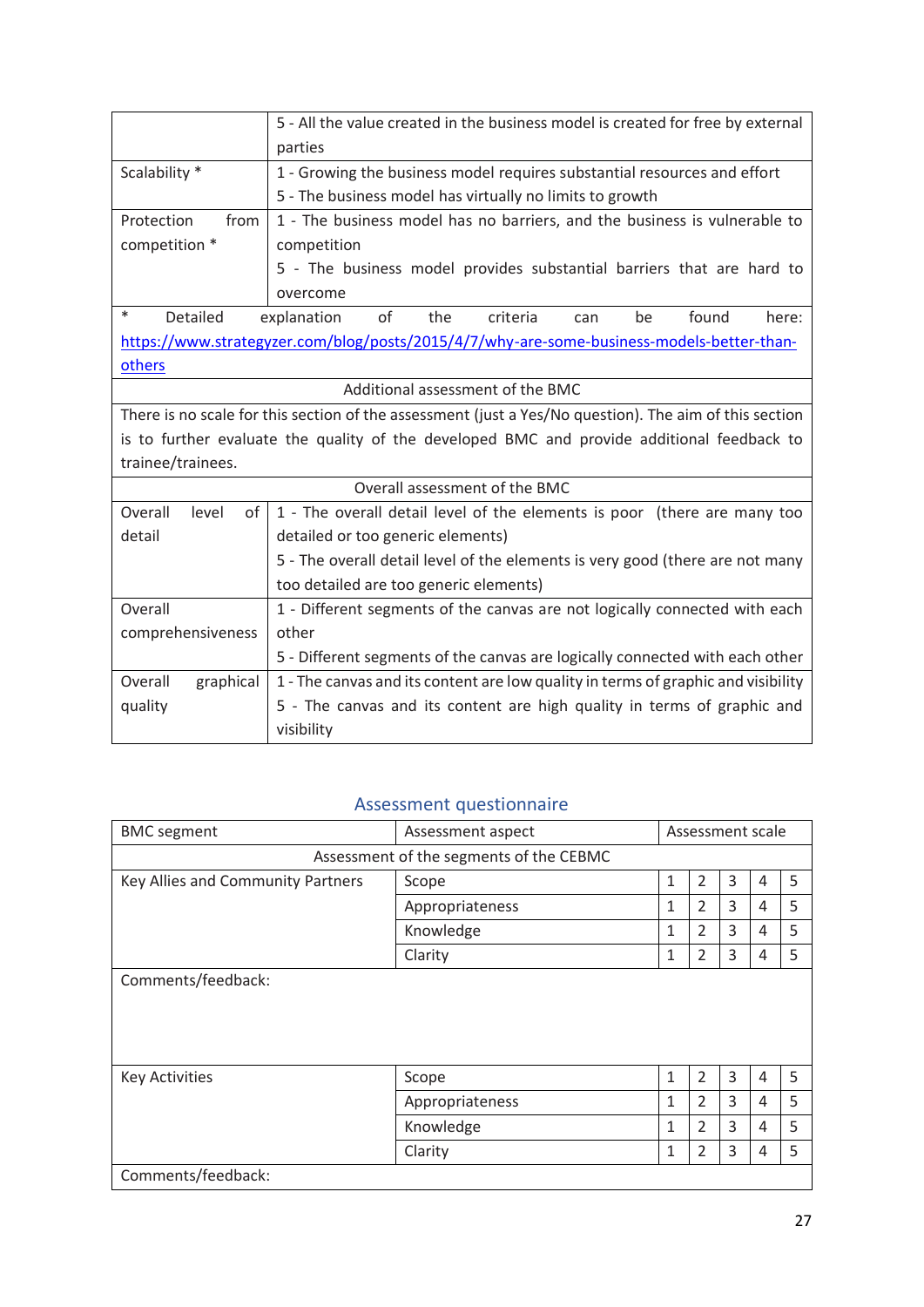|                                     | 5 - All the value created in the business model is created for free by external                        |
|-------------------------------------|--------------------------------------------------------------------------------------------------------|
|                                     | parties                                                                                                |
| Scalability *                       | 1 - Growing the business model requires substantial resources and effort                               |
|                                     | 5 - The business model has virtually no limits to growth                                               |
| Protection<br>from                  | 1 - The business model has no barriers, and the business is vulnerable to                              |
| competition *                       | competition                                                                                            |
|                                     | 5 - The business model provides substantial barriers that are hard to                                  |
|                                     | overcome                                                                                               |
| $\ast$<br>Detailed                  | of<br>found<br>explanation<br>the<br>criteria<br>be<br>here:<br>can                                    |
|                                     | https://www.strategyzer.com/blog/posts/2015/4/7/why-are-some-business-models-better-than-              |
| others                              |                                                                                                        |
|                                     | Additional assessment of the BMC                                                                       |
|                                     | There is no scale for this section of the assessment (just a Yes/No question). The aim of this section |
|                                     | is to further evaluate the quality of the developed BMC and provide additional feedback to             |
| trainee/trainees.                   |                                                                                                        |
|                                     | Overall assessment of the BMC                                                                          |
| Overall<br>level<br>of <sub>1</sub> | 1 - The overall detail level of the elements is poor (there are many too                               |
| detail                              | detailed or too generic elements)                                                                      |
|                                     | 5 - The overall detail level of the elements is very good (there are not many                          |
|                                     | too detailed are too generic elements)                                                                 |
| Overall                             | 1 - Different segments of the canvas are not logically connected with each                             |
| comprehensiveness                   | other                                                                                                  |
|                                     | 5 - Different segments of the canvas are logically connected with each other                           |
| Overall<br>graphical                | 1 - The canvas and its content are low quality in terms of graphic and visibility                      |
| quality                             | 5 - The canvas and its content are high quality in terms of graphic and                                |
|                                     | visibility                                                                                             |

#### Assessment questionnaire

| <b>BMC</b> segment                      | Assessment aspect | Assessment scale |                |   |   |   |  |  |  |
|-----------------------------------------|-------------------|------------------|----------------|---|---|---|--|--|--|
| Assessment of the segments of the CEBMC |                   |                  |                |   |   |   |  |  |  |
| Key Allies and Community Partners       | Scope             | 1                | 2              | 3 | 4 | 5 |  |  |  |
|                                         | Appropriateness   | 1                | $\overline{2}$ | 3 | 4 | 5 |  |  |  |
|                                         | Knowledge         | 1                | $\overline{2}$ | 3 | 4 | 5 |  |  |  |
|                                         | Clarity           | 1                | 2              | 3 | 4 | 5 |  |  |  |
| Comments/feedback:                      |                   |                  |                |   |   |   |  |  |  |
|                                         |                   |                  |                |   |   |   |  |  |  |
|                                         |                   |                  |                |   |   |   |  |  |  |
|                                         |                   |                  |                |   |   |   |  |  |  |
| <b>Key Activities</b>                   | Scope             | $\mathbf{1}$     | 2              | 3 | 4 | 5 |  |  |  |
|                                         | Appropriateness   | 1                | $\overline{2}$ | 3 | 4 | 5 |  |  |  |
|                                         | Knowledge         | 1                | $\overline{2}$ | 3 | 4 | 5 |  |  |  |
|                                         | Clarity           | 1                | $\overline{2}$ | 3 | 4 | 5 |  |  |  |
| Comments/feedback:                      |                   |                  |                |   |   |   |  |  |  |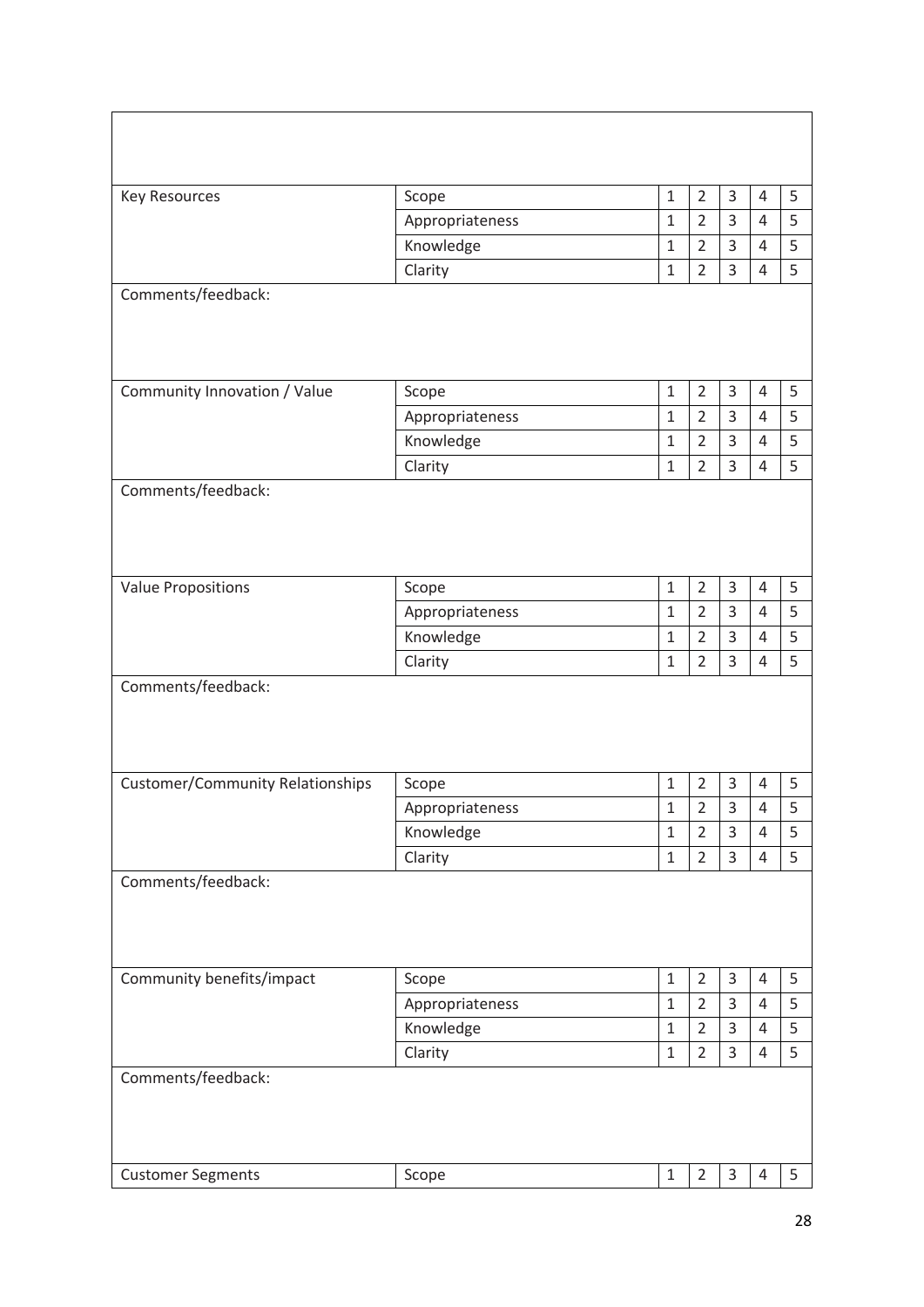| <b>Key Resources</b>                    | Scope           | $\mathbf 1$  | $\overline{2}$ | 3           | $\overline{4}$ | 5 |
|-----------------------------------------|-----------------|--------------|----------------|-------------|----------------|---|
|                                         | Appropriateness | $1\,$        | $\overline{2}$ | 3           | 4              | 5 |
|                                         | Knowledge       | $\mathbf{1}$ | $\overline{2}$ | 3           | 4              | 5 |
|                                         | Clarity         | $\mathbf 1$  | $\overline{2}$ | 3           | 4              | 5 |
| Comments/feedback:                      |                 |              |                |             |                |   |
|                                         |                 |              |                |             |                |   |
|                                         |                 |              |                |             |                |   |
|                                         |                 |              |                |             |                |   |
| Community Innovation / Value            | Scope           | $\mathbf 1$  | $\overline{2}$ | 3           | $\overline{4}$ | 5 |
|                                         | Appropriateness | $\mathbf{1}$ | $\overline{2}$ | 3           | $\overline{4}$ | 5 |
|                                         | Knowledge       | $\mathbf{1}$ | $\overline{2}$ | 3           | 4              | 5 |
|                                         | Clarity         | $\mathbf 1$  | $\overline{2}$ | 3           | 4              | 5 |
| Comments/feedback:                      |                 |              |                |             |                |   |
|                                         |                 |              |                |             |                |   |
|                                         |                 |              |                |             |                |   |
|                                         |                 |              |                |             |                |   |
| <b>Value Propositions</b>               | Scope           | $\mathbf 1$  | $\overline{2}$ | 3           | $\overline{4}$ | 5 |
|                                         | Appropriateness | $\mathbf{1}$ | $\overline{2}$ | 3           | 4              | 5 |
|                                         | Knowledge       | $\mathbf{1}$ | $\overline{2}$ | 3           | 4              | 5 |
|                                         | Clarity         | $\mathbf 1$  | $\overline{2}$ | 3           | 4              | 5 |
| Comments/feedback:                      |                 |              |                |             |                |   |
|                                         |                 |              |                |             |                |   |
|                                         |                 |              |                |             |                |   |
|                                         |                 |              |                |             |                |   |
| <b>Customer/Community Relationships</b> | Scope           | $\mathbf{1}$ | $\overline{2}$ | $\mathsf 3$ | 4              | 5 |
|                                         | Appropriateness | $1\,$        | $\overline{2}$ | 3           | 4              | 5 |
|                                         | Knowledge       | $\mathbf{1}$ | $\overline{2}$ | 3           | $\overline{4}$ | 5 |
|                                         | Clarity         | $\mathbf{1}$ | $\overline{2}$ | 3           | 4              | 5 |
| Comments/feedback:                      |                 |              |                |             |                |   |
|                                         |                 |              |                |             |                |   |
|                                         |                 |              |                |             |                |   |
|                                         |                 |              |                |             |                |   |
| Community benefits/impact               | Scope           | $\mathbf 1$  | $\overline{2}$ | 3           | $\overline{4}$ | 5 |
|                                         | Appropriateness | $\mathbf{1}$ | $\overline{2}$ | 3           | 4              | 5 |
|                                         | Knowledge       | $\mathbf{1}$ | $\overline{2}$ | 3           | 4              | 5 |
|                                         | Clarity         | $\mathbf{1}$ | $\overline{2}$ | 3           | 4              | 5 |
| Comments/feedback:                      |                 |              |                |             |                |   |
|                                         |                 |              |                |             |                |   |
|                                         |                 |              |                |             |                |   |
|                                         |                 |              |                |             |                |   |
| <b>Customer Segments</b>                | Scope           | $\mathbf 1$  | $\overline{2}$ | $\mathsf 3$ | 4              | 5 |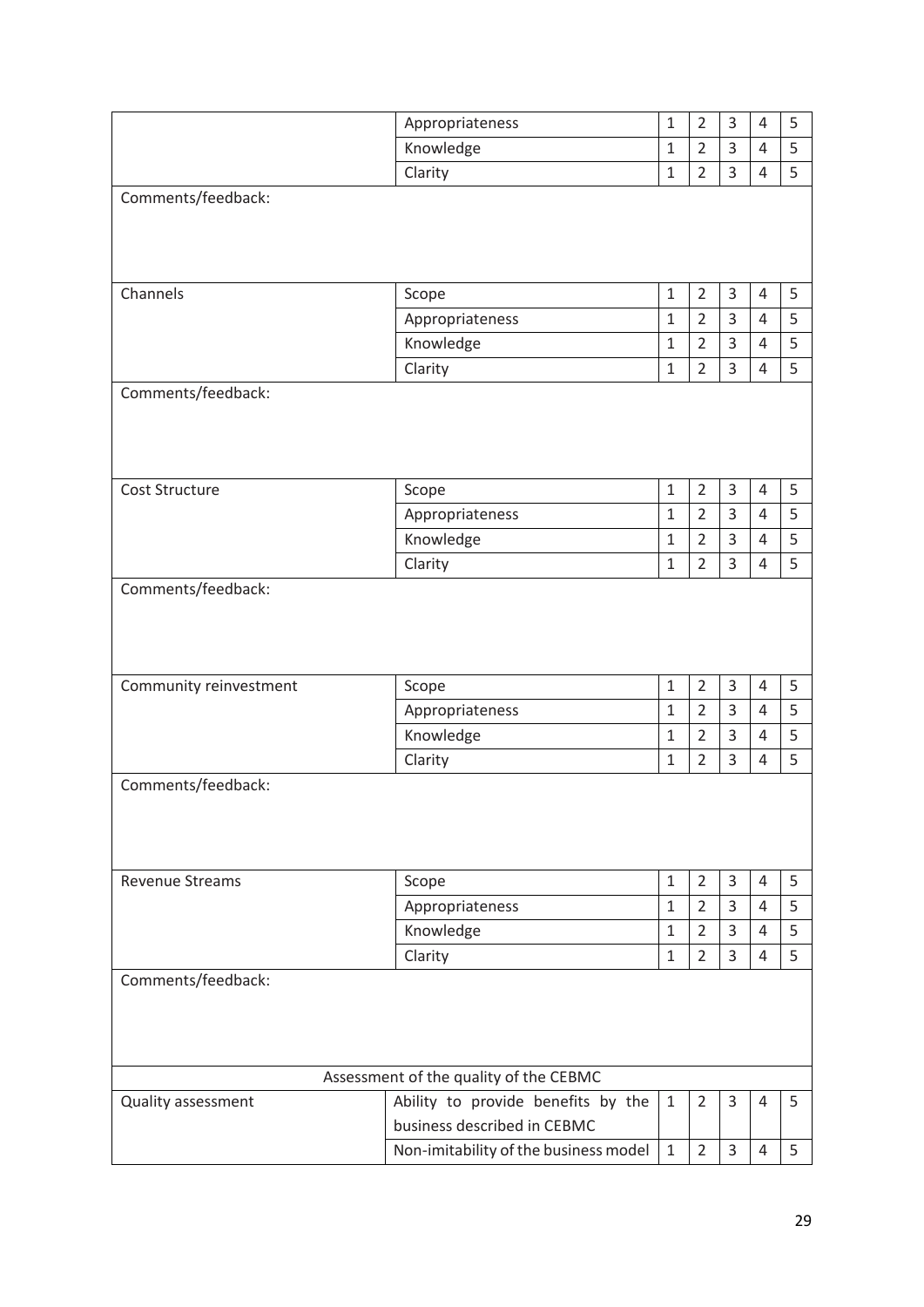|                        | Appropriateness                        | $\mathbf 1$          | $\overline{2}$                   | 3                   | 4              | 5 |  |  |
|------------------------|----------------------------------------|----------------------|----------------------------------|---------------------|----------------|---|--|--|
|                        | Knowledge                              | $\mathbf 1$          | $\overline{2}$                   | 3                   | 4              | 5 |  |  |
|                        | Clarity                                | $\mathbf{1}$         | $\overline{2}$                   | 3                   | 4              | 5 |  |  |
| Comments/feedback:     |                                        |                      |                                  |                     |                |   |  |  |
|                        |                                        |                      |                                  |                     |                |   |  |  |
|                        |                                        |                      |                                  |                     |                |   |  |  |
|                        |                                        |                      |                                  |                     |                |   |  |  |
| Channels               | Scope                                  | $\mathbf{1}$         | $\overline{2}$                   | 3                   | 4              | 5 |  |  |
|                        | Appropriateness                        | $1\,$                | $\overline{2}$                   | 3                   | $\overline{4}$ | 5 |  |  |
|                        | Knowledge                              | $\mathbf 1$          | $\overline{2}$                   | 3                   | 4              | 5 |  |  |
|                        | Clarity                                | $\mathbf{1}$         | $\overline{2}$                   | 3                   | 4              | 5 |  |  |
| Comments/feedback:     |                                        |                      |                                  |                     |                |   |  |  |
|                        |                                        |                      |                                  |                     |                |   |  |  |
|                        |                                        |                      |                                  |                     |                |   |  |  |
|                        |                                        |                      |                                  |                     |                |   |  |  |
| Cost Structure         | Scope                                  | $\mathbf{1}$         | $\overline{2}$                   | 3                   | 4              | 5 |  |  |
|                        | Appropriateness                        | $1\,$                | $\overline{2}$                   | $\overline{3}$      | $\overline{4}$ | 5 |  |  |
|                        | Knowledge                              | $\mathbf{1}$         | $\overline{2}$                   | 3                   | 4              | 5 |  |  |
|                        | Clarity                                | $\mathbf 1$          | $\overline{2}$                   | 3                   | 4              | 5 |  |  |
| Comments/feedback:     |                                        |                      |                                  |                     |                |   |  |  |
|                        |                                        |                      |                                  |                     |                |   |  |  |
|                        |                                        |                      |                                  |                     |                |   |  |  |
|                        |                                        |                      |                                  |                     |                |   |  |  |
|                        |                                        |                      |                                  |                     |                |   |  |  |
| Community reinvestment | Scope                                  | $\mathbf 1$<br>$1\,$ | $\overline{2}$<br>$\overline{2}$ | 3<br>$\overline{3}$ | $\overline{4}$ | 5 |  |  |
|                        | Appropriateness                        |                      |                                  |                     | $\overline{4}$ | 5 |  |  |
|                        | Knowledge                              | $1\,$                | $\overline{2}$                   | 3                   | 4              | 5 |  |  |
|                        | Clarity                                | $\mathbf{1}$         | $\overline{2}$                   | 3                   | 4              | 5 |  |  |
| Comments/feedback:     |                                        |                      |                                  |                     |                |   |  |  |
|                        |                                        |                      |                                  |                     |                |   |  |  |
|                        |                                        |                      |                                  |                     |                |   |  |  |
|                        |                                        |                      |                                  |                     |                |   |  |  |
| <b>Revenue Streams</b> | Scope                                  | $\mathbf{1}$         | $\overline{2}$                   | 3                   | 4              | 5 |  |  |
|                        | Appropriateness                        | $\mathbf{1}$         | $\overline{2}$                   | 3                   | 4              | 5 |  |  |
|                        | Knowledge                              | $\mathbf{1}$         | $\overline{2}$                   | 3                   | 4              | 5 |  |  |
|                        | Clarity                                | $\mathbf{1}$         | $\overline{2}$                   | 3                   | 4              | 5 |  |  |
| Comments/feedback:     |                                        |                      |                                  |                     |                |   |  |  |
|                        |                                        |                      |                                  |                     |                |   |  |  |
|                        |                                        |                      |                                  |                     |                |   |  |  |
|                        |                                        |                      |                                  |                     |                |   |  |  |
|                        | Assessment of the quality of the CEBMC |                      |                                  |                     |                |   |  |  |
| Quality assessment     | Ability to provide benefits by the     | $\mathbf{1}$         | $\overline{2}$                   | 3                   | 4              | 5 |  |  |
|                        | business described in CEBMC            |                      |                                  |                     |                |   |  |  |
|                        | Non-imitability of the business model  | $\mathbf{1}$         | $\overline{2}$                   | $\overline{3}$      | $\overline{4}$ | 5 |  |  |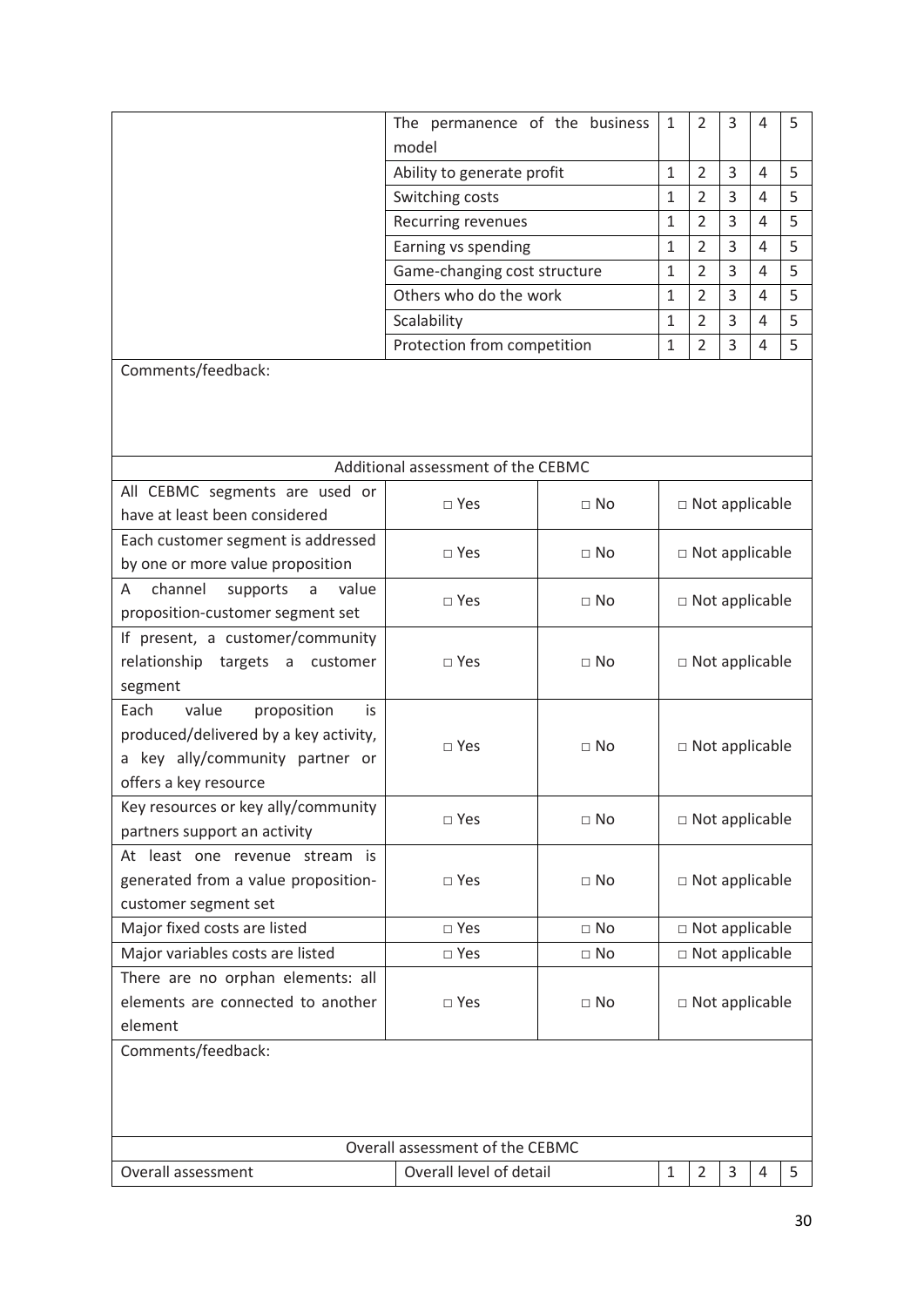| The permanence of the business | 1            | 2 | 3 | 4 |  |
|--------------------------------|--------------|---|---|---|--|
| model                          |              |   |   |   |  |
| Ability to generate profit     | 1            | 2 | 3 | 4 |  |
| Switching costs                | 1            | 2 | 3 | 4 |  |
| Recurring revenues             | 1            | 2 | 3 | 4 |  |
| Earning vs spending            | 1            | 2 | 3 | 4 |  |
| Game-changing cost structure   | $\mathbf{1}$ | 2 | 3 | 4 |  |
| Others who do the work         | 1            | 2 | 3 | 4 |  |
| Scalability                    | 1            | 2 | 3 | 4 |  |
| Protection from competition    | 1            | ว | 3 | 4 |  |

Comments/feedback:

| Additional assessment of the CEBMC            |                                 |             |                       |                       |   |   |   |  |  |  |  |
|-----------------------------------------------|---------------------------------|-------------|-----------------------|-----------------------|---|---|---|--|--|--|--|
| All CEBMC segments are used or                | $\Box$ Yes                      | $\Box$ No   | $\Box$ Not applicable |                       |   |   |   |  |  |  |  |
| have at least been considered                 |                                 |             |                       |                       |   |   |   |  |  |  |  |
| Each customer segment is addressed            | $\Box$ Yes                      | $\sqcap$ No |                       | $\Box$ Not applicable |   |   |   |  |  |  |  |
| by one or more value proposition              |                                 |             |                       |                       |   |   |   |  |  |  |  |
| channel<br>value<br>A<br>supports<br>a        | $\square$ Yes                   | $\Box$ No   |                       | $\Box$ Not applicable |   |   |   |  |  |  |  |
| proposition-customer segment set              |                                 |             |                       |                       |   |   |   |  |  |  |  |
| If present, a customer/community              |                                 |             |                       |                       |   |   |   |  |  |  |  |
| relationship targets a customer               | $\Box$ Yes                      | $\Box$ No   |                       | $\Box$ Not applicable |   |   |   |  |  |  |  |
| segment                                       |                                 |             |                       |                       |   |   |   |  |  |  |  |
| proposition<br>Each<br>value<br>is            |                                 |             |                       |                       |   |   |   |  |  |  |  |
| produced/delivered by a key activity,         | □ Yes                           | $\Box$ No   | $\Box$ Not applicable |                       |   |   |   |  |  |  |  |
| a key ally/community partner or               |                                 |             |                       |                       |   |   |   |  |  |  |  |
| offers a key resource                         |                                 |             |                       |                       |   |   |   |  |  |  |  |
| Key resources or key ally/community           | □ Yes                           | $\Box$ No   |                       |                       |   |   |   |  |  |  |  |
| partners support an activity                  |                                 |             |                       | $\Box$ Not applicable |   |   |   |  |  |  |  |
| At least one revenue stream is                |                                 |             |                       |                       |   |   |   |  |  |  |  |
| generated from a value proposition-           | $\square$ Yes                   | $\sqcap$ No | $\Box$ Not applicable |                       |   |   |   |  |  |  |  |
| customer segment set                          |                                 |             |                       |                       |   |   |   |  |  |  |  |
| Major fixed costs are listed                  | □ Yes                           | $\Box$ No   |                       | $\Box$ Not applicable |   |   |   |  |  |  |  |
| Major variables costs are listed              | $\square$ Yes                   | $\Box$ No   |                       | $\Box$ Not applicable |   |   |   |  |  |  |  |
| There are no orphan elements: all             |                                 |             |                       |                       |   |   |   |  |  |  |  |
| elements are connected to another             | $\square$ Yes                   | $\Box$ No   |                       | $\Box$ Not applicable |   |   |   |  |  |  |  |
| element                                       |                                 |             |                       |                       |   |   |   |  |  |  |  |
| Comments/feedback:                            |                                 |             |                       |                       |   |   |   |  |  |  |  |
|                                               |                                 |             |                       |                       |   |   |   |  |  |  |  |
|                                               |                                 |             |                       |                       |   |   |   |  |  |  |  |
|                                               |                                 |             |                       |                       |   |   |   |  |  |  |  |
|                                               | Overall assessment of the CEBMC |             |                       |                       |   |   |   |  |  |  |  |
| Overall assessment<br>Overall level of detail |                                 |             |                       | $\overline{2}$        | 3 | 4 | 5 |  |  |  |  |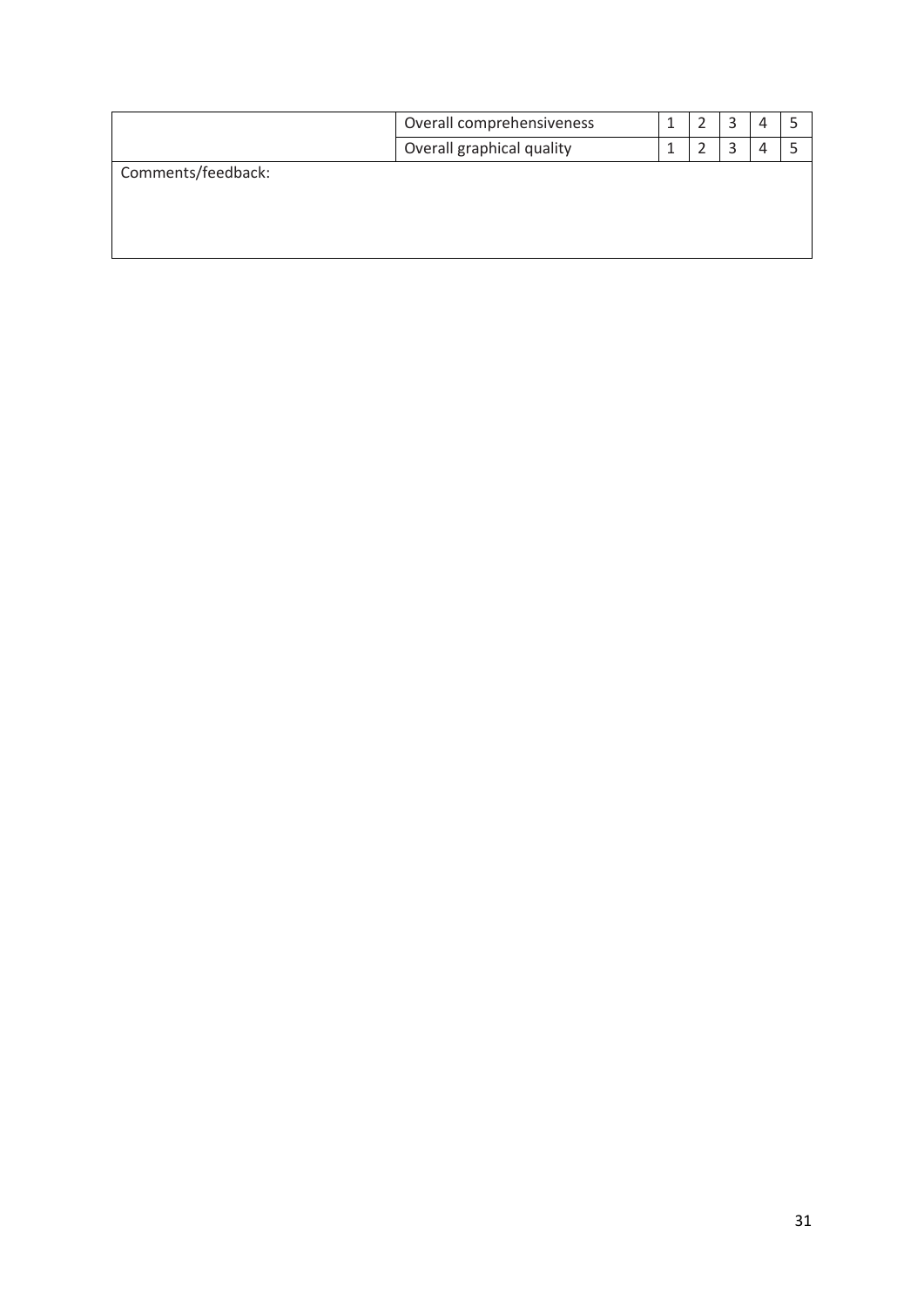|                    | Overall comprehensiveness |  | 3 | 4 |  |
|--------------------|---------------------------|--|---|---|--|
|                    | Overall graphical quality |  | 3 | Д |  |
| Comments/feedback: |                           |  |   |   |  |
|                    |                           |  |   |   |  |
|                    |                           |  |   |   |  |
|                    |                           |  |   |   |  |